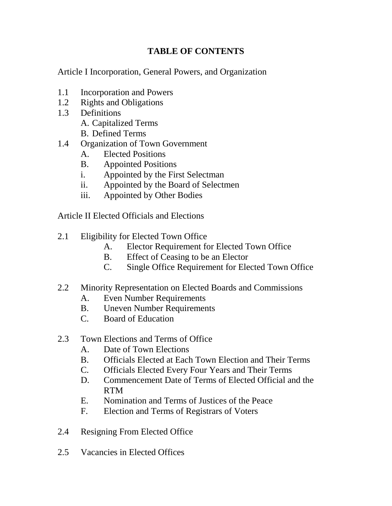# **TABLE OF CONTENTS**

Article I Incorporation, General Powers, and Organization

- 1.1 Incorporation and Powers
- 1.2 Rights and Obligations
- 1.3 Definitions
	- A. Capitalized Terms
	- B. Defined Terms
- 1.4 Organization of Town Government
	- A. Elected Positions
	- B. Appointed Positions
	- i. Appointed by the First Selectman
	- ii. Appointed by the Board of Selectmen
	- iii. Appointed by Other Bodies

Article II Elected Officials and Elections

- 2.1 Eligibility for Elected Town Office
	- A. Elector Requirement for Elected Town Office
	- B. Effect of Ceasing to be an Elector
	- C. Single Office Requirement for Elected Town Office
- 2.2 Minority Representation on Elected Boards and Commissions
	- A. Even Number Requirements
	- B. Uneven Number Requirements
	- C. Board of Education
- 2.3 Town Elections and Terms of Office
	- A. Date of Town Elections
	- B. Officials Elected at Each Town Election and Their Terms
	- C. Officials Elected Every Four Years and Their Terms
	- D. Commencement Date of Terms of Elected Official and the RTM
	- E. Nomination and Terms of Justices of the Peace
	- F. Election and Terms of Registrars of Voters
- 2.4 Resigning From Elected Office
- 2.5 Vacancies in Elected Offices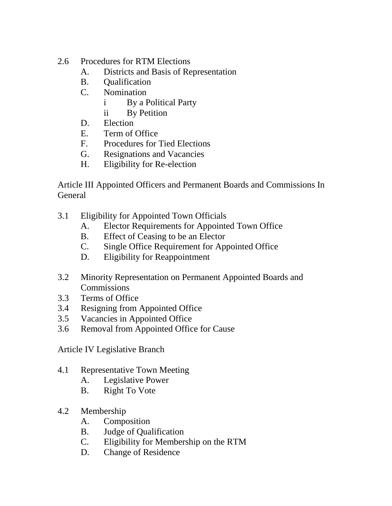# 2.6 Procedures for RTM Elections

- A. Districts and Basis of Representation
- B. Qualification
- C. Nomination
	- i By a Political Party
	- ii By Petition
- D. Election
- E. Term of Office
- F. Procedures for Tied Elections
- G. Resignations and Vacancies
- H. Eligibility for Re-election

Article III Appointed Officers and Permanent Boards and Commissions In General

- 3.1 Eligibility for Appointed Town Officials
	- A. Elector Requirements for Appointed Town Office
	- B. Effect of Ceasing to be an Elector
	- C. Single Office Requirement for Appointed Office
	- D. Eligibility for Reappointment
- 3.2 Minority Representation on Permanent Appointed Boards and **Commissions**
- 3.3 Terms of Office
- 3.4 Resigning from Appointed Office
- 3.5 Vacancies in Appointed Office
- 3.6 Removal from Appointed Office for Cause

Article IV Legislative Branch

- 4.1 Representative Town Meeting
	- A. Legislative Power
	- B. Right To Vote
- 4.2 Membership
	- A. Composition
	- B. Judge of Qualification
	- C. Eligibility for Membership on the RTM
	- D. Change of Residence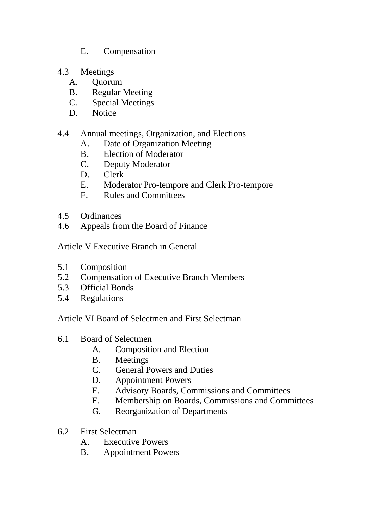- E. Compensation
- 4.3 Meetings
	- A. Quorum
	- B. Regular Meeting
	- C. Special Meetings
	- D. Notice

### 4.4 Annual meetings, Organization, and Elections

- A. Date of Organization Meeting
- B. Election of Moderator
- C. Deputy Moderator
- 
- D. Clerk<br>E. Mode Moderator Pro-tempore and Clerk Pro-tempore
- F. Rules and Committees
- 4.5 Ordinances
- 4.6 Appeals from the Board of Finance

Article V Executive Branch in General

- 5.1 Composition
- 5.2 Compensation of Executive Branch Members
- 5.3 Official Bonds
- 5.4 Regulations

Article VI Board of Selectmen and First Selectman

- 6.1 Board of Selectmen
	- A. Composition and Election
	- B. Meetings
	- C. General Powers and Duties
	- D. Appointment Powers
	- E. Advisory Boards, Commissions and Committees
	- F. Membership on Boards, Commissions and Committees
	- G. Reorganization of Departments
- 6.2 First Selectman
	- A. Executive Powers
	- B. Appointment Powers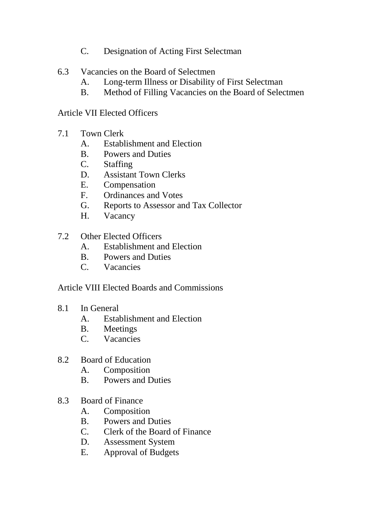- C. Designation of Acting First Selectman
- 6.3 Vacancies on the Board of Selectmen
	- A. Long-term Illness or Disability of First Selectman
	- B. Method of Filling Vacancies on the Board of Selectmen

Article VII Elected Officers

- 7.1 Town Clerk
	- A. Establishment and Election
	- B. Powers and Duties<br>C. Staffing
	- **Staffing**
	- D. Assistant Town Clerks
	- E. Compensation
	- F. Ordinances and Votes
	- G. Reports to Assessor and Tax Collector
	- H. Vacancy
- 7.2 Other Elected Officers
	- A. Establishment and Election
	- B. Powers and Duties
	- C. Vacancies

Article VIII Elected Boards and Commissions

- 8.1 In General
	- A. Establishment and Election
	- B. Meetings
	- C. Vacancies
- 8.2 Board of Education
	- A. Composition
	- B. Powers and Duties
- 8.3 Board of Finance
	- A. Composition
	- B. Powers and Duties
	- C. Clerk of the Board of Finance<br>D. Assessment System
	- Assessment System
	- E. Approval of Budgets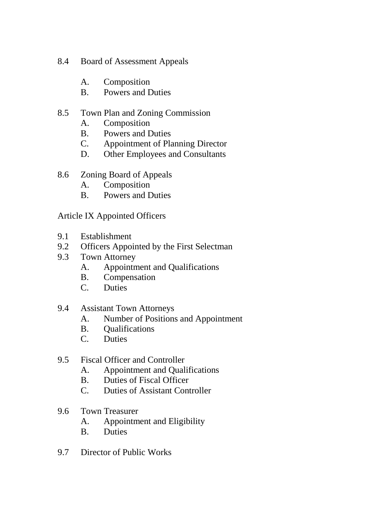- 8.4 Board of Assessment Appeals
	- A. Composition
	- B. Powers and Duties

## 8.5 Town Plan and Zoning Commission

- A. Composition
- B. Powers and Duties
- C. Appointment of Planning Director
- D. Other Employees and Consultants
- 8.6 Zoning Board of Appeals
	- A. Composition
	- B. Powers and Duties

Article IX Appointed Officers

- 9.1 Establishment
- 9.2 Officers Appointed by the First Selectman
- 9.3 Town Attorney
	- A. Appointment and Qualifications
	- B. Compensation
	- C. Duties
- 9.4 Assistant Town Attorneys
	- A. Number of Positions and Appointment
	- B. Qualifications
	- C. Duties
- 9.5 Fiscal Officer and Controller
	- A. Appointment and Qualifications
	- B. Duties of Fiscal Officer
	- C. Duties of Assistant Controller
- 9.6 Town Treasurer
	- A. Appointment and Eligibility
	- B. Duties
- 9.7 Director of Public Works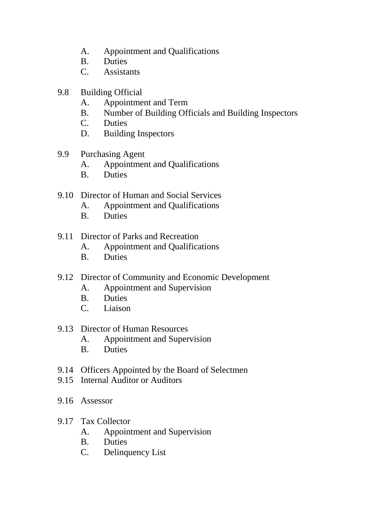- A. Appointment and Qualifications
- B. Duties
- C. Assistants
- 9.8 Building Official
	- A. Appointment and Term
	- B. Number of Building Officials and Building Inspectors
	- C. Duties
	- D. Building Inspectors
- 9.9 Purchasing Agent
	- A. Appointment and Qualifications
	- B. Duties
- 9.10 Director of Human and Social Services
	- A. Appointment and Qualifications
	- B. Duties
- 9.11 Director of Parks and Recreation
	- A. Appointment and Qualifications
	- B. Duties
- 9.12 Director of Community and Economic Development
	- A. Appointment and Supervision
	- B. Duties
	- C. Liaison
- 9.13 Director of Human Resources
	- A. Appointment and Supervision
	- B. Duties
- 9.14 Officers Appointed by the Board of Selectmen
- 9.15 Internal Auditor or Auditors
- 9.16 Assessor
- 9.17 Tax Collector
	- A. Appointment and Supervision
	- B. Duties
	- C. Delinquency List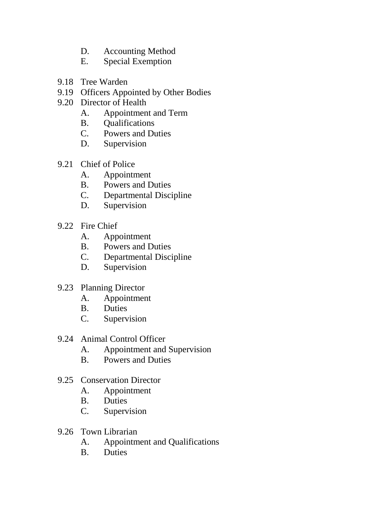- D. Accounting Method
- E. Special Exemption
- 9.18 Tree Warden
- 9.19 Officers Appointed by Other Bodies
- 9.20 Director of Health
	- A. Appointment and Term
	- B. Qualifications
	- C. Powers and Duties
	- D. Supervision
- 9.21 Chief of Police
	-
	- A. Appointment<br>B. Powers and D Powers and Duties
	- C. Departmental Discipline
	- D. Supervision
- 9.22 Fire Chief
	- A. Appointment<br>B. Powers and D
	- Powers and Duties
	- C. Departmental Discipline
	- D. Supervision
- 9.23 Planning Director
	- A. Appointment
	- B. Duties
	- C. Supervision
- 9.24 Animal Control Officer
	- A. Appointment and Supervision
	- B. Powers and Duties
- 9.25 Conservation Director
	- A. Appointment
	- B. Duties
	- C. Supervision
- 9.26 Town Librarian
	- A. Appointment and Qualifications
	- B. Duties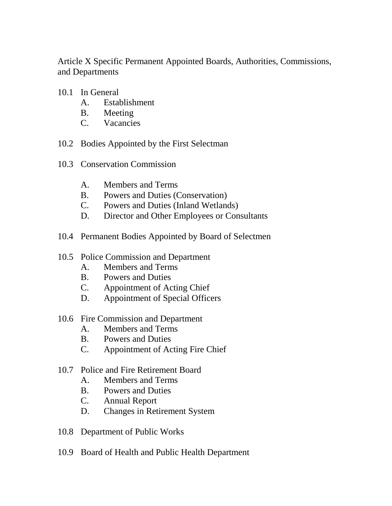Article X Specific Permanent Appointed Boards, Authorities, Commissions, and Departments

- 10.1 In General
	- A. Establishment
	- B. Meeting
	- C. Vacancies
- 10.2 Bodies Appointed by the First Selectman
- 10.3 Conservation Commission
	- A. Members and Terms
	-
	- B. Powers and Duties (Conservation)<br>C. Powers and Duties (Inland Wetland Powers and Duties (Inland Wetlands)
	- D. Director and Other Employees or Consultants
- 10.4 Permanent Bodies Appointed by Board of Selectmen
- 10.5 Police Commission and Department
	- A. Members and Terms
	- B. Powers and Duties
	- C. Appointment of Acting Chief
	- D. Appointment of Special Officers
- 10.6 Fire Commission and Department
	- A. Members and Terms
	- B. Powers and Duties
	- C. Appointment of Acting Fire Chief
- 10.7 Police and Fire Retirement Board
	- A. Members and Terms
	- B. Powers and Duties<br>C. Annual Report
	- Annual Report
	- D. Changes in Retirement System
- 10.8 Department of Public Works
- 10.9 Board of Health and Public Health Department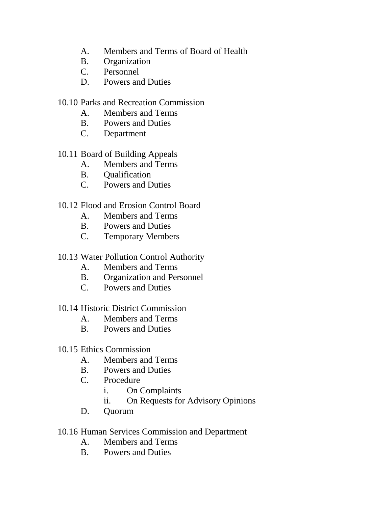- A. Members and Terms of Board of Health
- B. Organization
- C. Personnel
- D. Powers and Duties
- 10.10 Parks and Recreation Commission
	- A. Members and Terms
	- B. Powers and Duties
	- C. Department

# 10.11 Board of Building Appeals

- A. Members and Terms
- B. Qualification
- C. Powers and Duties

# 10.12 Flood and Erosion Control Board

- A. Members and Terms
- B. Powers and Duties
- C. Temporary Members
- 10.13 Water Pollution Control Authority
	- A. Members and Terms
	- B. Organization and Personnel
	- C. Powers and Duties

### 10.14 Historic District Commission

- A. Members and Terms
- B. Powers and Duties

### 10.15 Ethics Commission

- A. Members and Terms
- B. Powers and Duties
- C. Procedure
	- i. On Complaints
	- ii. On Requests for Advisory Opinions
- D. Quorum

### 10.16 Human Services Commission and Department

- A. Members and Terms
- B. Powers and Duties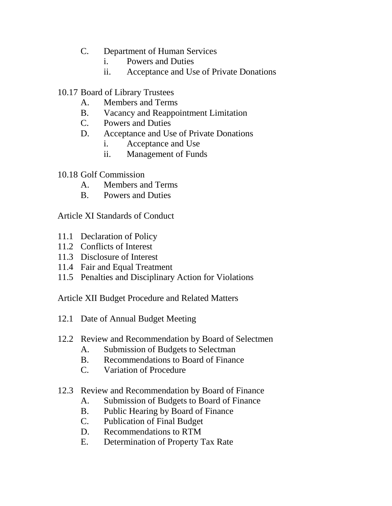- C. Department of Human Services
	- i. Powers and Duties
	- ii. Acceptance and Use of Private Donations
- 10.17 Board of Library Trustees
	- A. Members and Terms
	- B. Vacancy and Reappointment Limitation
	- C. Powers and Duties
	- D. Acceptance and Use of Private Donations
		- i. Acceptance and Use
		- ii. Management of Funds
- 10.18 Golf Commission
	- A. Members and Terms
	- B. Powers and Duties

Article XI Standards of Conduct

- 11.1 Declaration of Policy
- 11.2 Conflicts of Interest
- 11.3 Disclosure of Interest
- 11.4 Fair and Equal Treatment
- 11.5 Penalties and Disciplinary Action for Violations

Article XII Budget Procedure and Related Matters

- 12.1 Date of Annual Budget Meeting
- 12.2 Review and Recommendation by Board of Selectmen
	- A. Submission of Budgets to Selectman
	- B. Recommendations to Board of Finance
	- C. Variation of Procedure
- 12.3 Review and Recommendation by Board of Finance
	- A. Submission of Budgets to Board of Finance
	- B. Public Hearing by Board of Finance
	- C. Publication of Final Budget
	- D. Recommendations to RTM
	- E. Determination of Property Tax Rate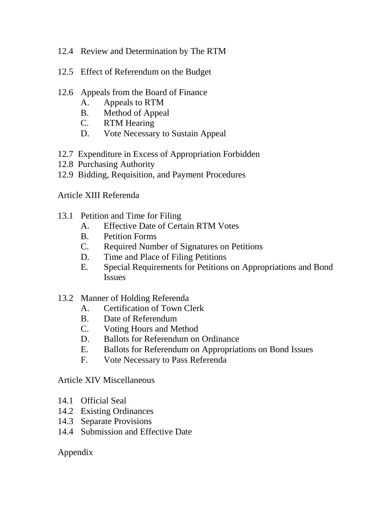- 12.4 Review and Determination by The RTM
- 12.5 Effect of Referendum on the Budget
- 12.6 Appeals from the Board of Finance
	- A. Appeals to RTM
	- B. Method of Appeal<br>C. RTM Hearing
	- RTM Hearing
	- D. Vote Necessary to Sustain Appeal
- 12.7 Expenditure in Excess of Appropriation Forbidden
- 12.8 Purchasing Authority
- 12.9 Bidding, Requisition, and Payment Procedures

Article XIII Referenda

- 13.1 Petition and Time for Filing
	- A. Effective Date of Certain RTM Votes
	- B. Petition Forms
	- C. Required Number of Signatures on Petitions
	- D. Time and Place of Filing Petitions
	- E. Special Requirements for Petitions on Appropriations and Bond Issues
- 13.2 Manner of Holding Referenda
	- A. Certification of Town Clerk
	- B. Date of Referendum
	- C. Voting Hours and Method
	- D. Ballots for Referendum on Ordinance
	- E. Ballots for Referendum on Appropriations on Bond Issues
	- F. Vote Necessary to Pass Referenda

Article XIV Miscellaneous

- 14.1 Official Seal
- 14.2 Existing Ordinances
- 14.3 Separate Provisions
- 14.4 Submission and Effective Date

# Appendix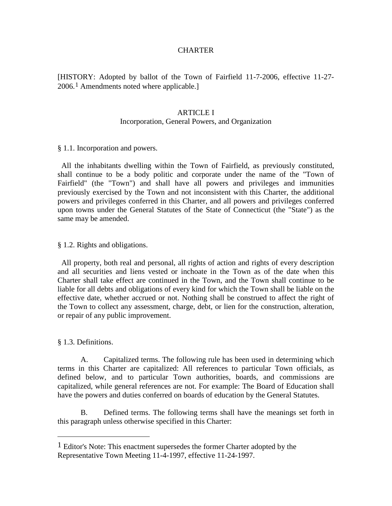#### **CHARTER**

[HISTORY: Adopted by ballot of the Town of Fairfield 11-7-2006, effective 11-27- 2006.<sup>[1](#page-11-0)</sup> Amendments noted where applicable.]

#### ARTICLE I

#### Incorporation, General Powers, and Organization

§ 1.1. Incorporation and powers.

 All the inhabitants dwelling within the Town of Fairfield, as previously constituted, shall continue to be a body politic and corporate under the name of the "Town of Fairfield" (the "Town") and shall have all powers and privileges and immunities previously exercised by the Town and not inconsistent with this Charter, the additional powers and privileges conferred in this Charter, and all powers and privileges conferred upon towns under the General Statutes of the State of Connecticut (the "State") as the same may be amended.

§ 1.2. Rights and obligations.

 All property, both real and personal, all rights of action and rights of every description and all securities and liens vested or inchoate in the Town as of the date when this Charter shall take effect are continued in the Town, and the Town shall continue to be liable for all debts and obligations of every kind for which the Town shall be liable on the effective date, whether accrued or not. Nothing shall be construed to affect the right of the Town to collect any assessment, charge, debt, or lien for the construction, alteration, or repair of any public improvement.

§ 1.3. Definitions.

 $\overline{a}$ 

A. Capitalized terms. The following rule has been used in determining which terms in this Charter are capitalized: All references to particular Town officials, as defined below, and to particular Town authorities, boards, and commissions are capitalized, while general references are not. For example: The Board of Education shall have the powers and duties conferred on boards of education by the General Statutes.

B. Defined terms. The following terms shall have the meanings set forth in this paragraph unless otherwise specified in this Charter:

<span id="page-11-0"></span><sup>1</sup> Editor's Note: This enactment supersedes the former Charter adopted by the Representative Town Meeting 11-4-1997, effective 11-24-1997.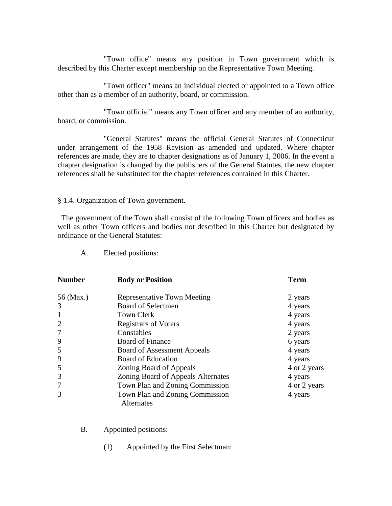"Town office" means any position in Town government which is described by this Charter except membership on the Representative Town Meeting.

"Town officer" means an individual elected or appointed to a Town office other than as a member of an authority, board, or commission.

"Town official" means any Town officer and any member of an authority, board, or commission.

"General Statutes" means the official General Statutes of Connecticut under arrangement of the 1958 Revision as amended and updated. Where chapter references are made, they are to chapter designations as of January 1, 2006. In the event a chapter designation is changed by the publishers of the General Statutes, the new chapter references shall be substituted for the chapter references contained in this Charter.

§ 1.4. Organization of Town government.

 The government of the Town shall consist of the following Town officers and bodies as well as other Town officers and bodies not described in this Charter but designated by ordinance or the General Statutes:

| <b>Number</b>  | <b>Body or Position</b>                              | Term         |  |
|----------------|------------------------------------------------------|--------------|--|
| 56 (Max.)      | <b>Representative Town Meeting</b>                   | 2 years      |  |
| 3              | Board of Selectmen                                   | 4 years      |  |
| 1              | <b>Town Clerk</b>                                    | 4 years      |  |
| $\overline{2}$ | <b>Registrars of Voters</b>                          | 4 years      |  |
| $\overline{7}$ | Constables                                           | 2 years      |  |
| 9              | <b>Board of Finance</b>                              | 6 years      |  |
| 5              | <b>Board of Assessment Appeals</b>                   | 4 years      |  |
| 9              | <b>Board of Education</b>                            | 4 years      |  |
| 5              | Zoning Board of Appeals                              | 4 or 2 years |  |
| 3              | Zoning Board of Appeals Alternates                   | 4 years      |  |
| 7              | Town Plan and Zoning Commission                      | 4 or 2 years |  |
| 3              | Town Plan and Zoning Commission<br><b>Alternates</b> | 4 years      |  |

A. Elected positions:

- B. Appointed positions:
	- (1) Appointed by the First Selectman: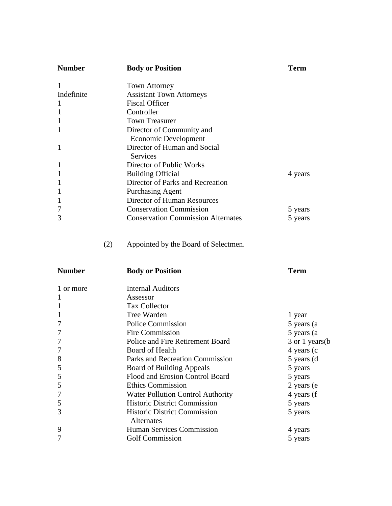| <b>Number</b><br><b>Body or Position</b> |                                                                                                                                                                                                                                                                                                                                                                                                                                                                                                       |  |
|------------------------------------------|-------------------------------------------------------------------------------------------------------------------------------------------------------------------------------------------------------------------------------------------------------------------------------------------------------------------------------------------------------------------------------------------------------------------------------------------------------------------------------------------------------|--|
|                                          |                                                                                                                                                                                                                                                                                                                                                                                                                                                                                                       |  |
|                                          |                                                                                                                                                                                                                                                                                                                                                                                                                                                                                                       |  |
|                                          |                                                                                                                                                                                                                                                                                                                                                                                                                                                                                                       |  |
|                                          |                                                                                                                                                                                                                                                                                                                                                                                                                                                                                                       |  |
|                                          |                                                                                                                                                                                                                                                                                                                                                                                                                                                                                                       |  |
|                                          |                                                                                                                                                                                                                                                                                                                                                                                                                                                                                                       |  |
|                                          |                                                                                                                                                                                                                                                                                                                                                                                                                                                                                                       |  |
|                                          |                                                                                                                                                                                                                                                                                                                                                                                                                                                                                                       |  |
|                                          |                                                                                                                                                                                                                                                                                                                                                                                                                                                                                                       |  |
|                                          |                                                                                                                                                                                                                                                                                                                                                                                                                                                                                                       |  |
|                                          | 4 years                                                                                                                                                                                                                                                                                                                                                                                                                                                                                               |  |
|                                          |                                                                                                                                                                                                                                                                                                                                                                                                                                                                                                       |  |
|                                          |                                                                                                                                                                                                                                                                                                                                                                                                                                                                                                       |  |
|                                          |                                                                                                                                                                                                                                                                                                                                                                                                                                                                                                       |  |
|                                          | 5 years                                                                                                                                                                                                                                                                                                                                                                                                                                                                                               |  |
|                                          | 5 years                                                                                                                                                                                                                                                                                                                                                                                                                                                                                               |  |
|                                          |                                                                                                                                                                                                                                                                                                                                                                                                                                                                                                       |  |
|                                          | <b>Town Attorney</b><br><b>Assistant Town Attorneys</b><br><b>Fiscal Officer</b><br>Controller<br><b>Town Treasurer</b><br>Director of Community and<br>Economic Development<br>Director of Human and Social<br>Services<br>Director of Public Works<br><b>Building Official</b><br>Director of Parks and Recreation<br><b>Purchasing Agent</b><br>Director of Human Resources<br><b>Conservation Commission</b><br><b>Conservation Commission Alternates</b><br>Appointed by the Board of Selectmen. |  |

| <b>Number</b> | <b>Body or Position</b>                           | <b>Term</b>      |  |  |
|---------------|---------------------------------------------------|------------------|--|--|
| 1 or more     | <b>Internal Auditors</b>                          |                  |  |  |
|               | Assessor                                          |                  |  |  |
|               | <b>Tax Collector</b>                              |                  |  |  |
|               | <b>Tree Warden</b>                                | 1 year           |  |  |
|               | <b>Police Commission</b>                          | 5 years (a)      |  |  |
|               | Fire Commission                                   | 5 years (a)      |  |  |
|               | Police and Fire Retirement Board                  | 3 or 1 years (b) |  |  |
|               | Board of Health                                   | 4 years (c)      |  |  |
| 8             | Parks and Recreation Commission                   | 5 years (d)      |  |  |
| 5             | Board of Building Appeals                         | 5 years          |  |  |
| 5             | Flood and Erosion Control Board                   | 5 years          |  |  |
| 5             | <b>Ethics Commission</b>                          | 2 years (e)      |  |  |
|               | <b>Water Pollution Control Authority</b>          | 4 years (f       |  |  |
| 5             | <b>Historic District Commission</b>               | 5 years          |  |  |
| 3             | <b>Historic District Commission</b><br>Alternates | 5 years          |  |  |
| 9             | <b>Human Services Commission</b>                  | 4 years          |  |  |
|               | <b>Golf Commission</b>                            | 5 years          |  |  |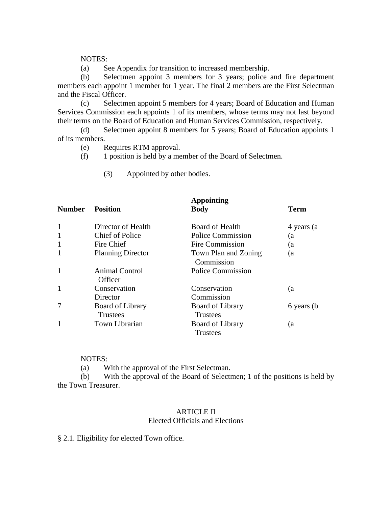#### NOTES:

(a) See Appendix for transition to increased membership.

(b) Selectmen appoint 3 members for 3 years; police and fire department members each appoint 1 member for 1 year. The final 2 members are the First Selectman and the Fiscal Officer.

(c) Selectmen appoint 5 members for 4 years; Board of Education and Human Services Commission each appoints 1 of its members, whose terms may not last beyond their terms on the Board of Education and Human Services Commission, respectively.

(d) Selectmen appoint 8 members for 5 years; Board of Education appoints 1 of its members.

(e) Requires RTM approval.

(f) 1 position is held by a member of the Board of Selectmen.

(3) Appointed by other bodies.

| <b>Number</b> | <b>Position</b>           | <b>Appointing</b><br><b>Body</b>   | <b>Term</b> |
|---------------|---------------------------|------------------------------------|-------------|
| 1             | Director of Health        | <b>Board of Health</b>             | 4 years (a) |
| 1             | <b>Chief of Police</b>    | <b>Police Commission</b>           | (a          |
| $\mathbf{1}$  | Fire Chief                | Fire Commission                    | (a          |
| 1             | <b>Planning Director</b>  | Town Plan and Zoning<br>Commission | (a          |
| $\mathbf{1}$  | Animal Control<br>Officer | <b>Police Commission</b>           |             |
| $\mathbf{1}$  | Conservation              | Conservation                       | (a          |
|               | Director                  | Commission                         |             |
| 7             | Board of Library          | <b>Board of Library</b>            | 6 years (b) |
|               | Trustees                  | <b>Trustees</b>                    |             |
|               | Town Librarian            | <b>Board of Library</b>            | (a          |
|               |                           | Trustees                           |             |

NOTES:

(a) With the approval of the First Selectman.

(b) With the approval of the Board of Selectmen; 1 of the positions is held by the Town Treasurer.

#### ARTICLE II Elected Officials and Elections

§ 2.1. Eligibility for elected Town office.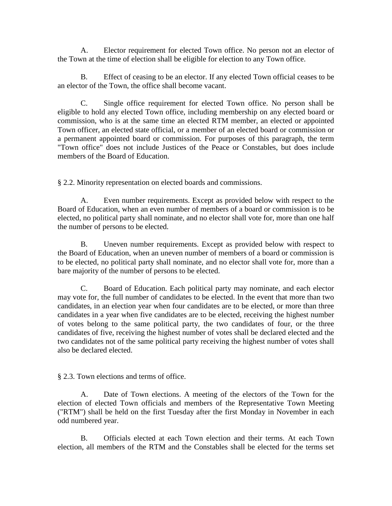A. Elector requirement for elected Town office. No person not an elector of the Town at the time of election shall be eligible for election to any Town office.

B. Effect of ceasing to be an elector. If any elected Town official ceases to be an elector of the Town, the office shall become vacant.

C. Single office requirement for elected Town office. No person shall be eligible to hold any elected Town office, including membership on any elected board or commission, who is at the same time an elected RTM member, an elected or appointed Town officer, an elected state official, or a member of an elected board or commission or a permanent appointed board or commission. For purposes of this paragraph, the term "Town office" does not include Justices of the Peace or Constables, but does include members of the Board of Education.

§ 2.2. Minority representation on elected boards and commissions.

A. Even number requirements. Except as provided below with respect to the Board of Education, when an even number of members of a board or commission is to be elected, no political party shall nominate, and no elector shall vote for, more than one half the number of persons to be elected.

B. Uneven number requirements. Except as provided below with respect to the Board of Education, when an uneven number of members of a board or commission is to be elected, no political party shall nominate, and no elector shall vote for, more than a bare majority of the number of persons to be elected.

C. Board of Education. Each political party may nominate, and each elector may vote for, the full number of candidates to be elected. In the event that more than two candidates, in an election year when four candidates are to be elected, or more than three candidates in a year when five candidates are to be elected, receiving the highest number of votes belong to the same political party, the two candidates of four, or the three candidates of five, receiving the highest number of votes shall be declared elected and the two candidates not of the same political party receiving the highest number of votes shall also be declared elected.

§ 2.3. Town elections and terms of office.

A. Date of Town elections. A meeting of the electors of the Town for the election of elected Town officials and members of the Representative Town Meeting ("RTM") shall be held on the first Tuesday after the first Monday in November in each odd numbered year.

B. Officials elected at each Town election and their terms. At each Town election, all members of the RTM and the Constables shall be elected for the terms set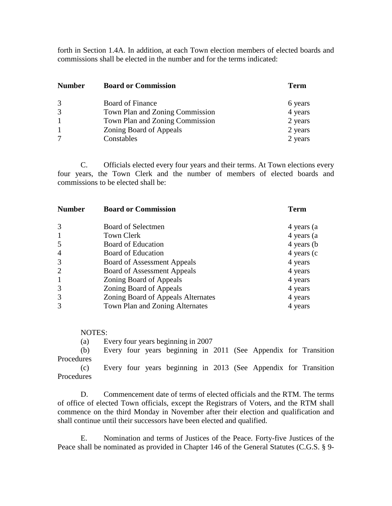forth in Section 1.4A. In addition, at each Town election members of elected boards and commissions shall be elected in the number and for the terms indicated:

| <b>Number</b> | <b>Board or Commission</b>      | <b>Term</b> |  |
|---------------|---------------------------------|-------------|--|
| 3             | Board of Finance                | 6 years     |  |
| 3             | Town Plan and Zoning Commission | 4 years     |  |
|               | Town Plan and Zoning Commission | 2 years     |  |
|               | Zoning Board of Appeals         | 2 years     |  |
|               | Constables                      | 2 years     |  |

C. Officials elected every four years and their terms. At Town elections every four years, the Town Clerk and the number of members of elected boards and commissions to be elected shall be:

| <b>Number</b>  | <b>Board or Commission</b>         | <b>Term</b> |  |  |
|----------------|------------------------------------|-------------|--|--|
| 3              | Board of Selectmen                 | 4 years (a  |  |  |
| $\mathbf{1}$   | Town Clerk                         | 4 years (a  |  |  |
| 5              | Board of Education                 | 4 years (b) |  |  |
| 4              | Board of Education                 | 4 years (c) |  |  |
| 3              | <b>Board of Assessment Appeals</b> | 4 years     |  |  |
| $\overline{2}$ | <b>Board of Assessment Appeals</b> | 4 years     |  |  |
| $\mathbf{1}$   | Zoning Board of Appeals            | 4 years     |  |  |
| 3              | Zoning Board of Appeals            | 4 years     |  |  |
| 3              | Zoning Board of Appeals Alternates | 4 years     |  |  |
| 3              | Town Plan and Zoning Alternates    | 4 years     |  |  |

#### NOTES:

(a) Every four years beginning in 2007

(b) Every four years beginning in 2011 (See Appendix for Transition Procedures

(c) Every four years beginning in 2013 (See Appendix for Transition **Procedures** 

D. Commencement date of terms of elected officials and the RTM. The terms of office of elected Town officials, except the Registrars of Voters, and the RTM shall commence on the third Monday in November after their election and qualification and shall continue until their successors have been elected and qualified.

E. Nomination and terms of Justices of the Peace. Forty-five Justices of the Peace shall be nominated as provided in Chapter 146 of the General Statutes (C.G.S. § 9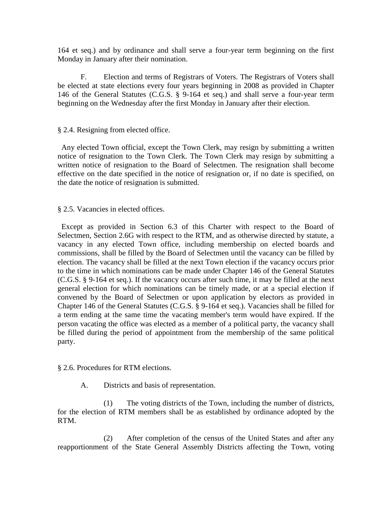164 et seq.) and by ordinance and shall serve a four-year term beginning on the first Monday in January after their nomination.

F. Election and terms of Registrars of Voters. The Registrars of Voters shall be elected at state elections every four years beginning in 2008 as provided in Chapter 146 of the General Statutes (C.G.S. § 9-164 et seq.) and shall serve a four-year term beginning on the Wednesday after the first Monday in January after their election.

#### § 2.4. Resigning from elected office.

 Any elected Town official, except the Town Clerk, may resign by submitting a written notice of resignation to the Town Clerk. The Town Clerk may resign by submitting a written notice of resignation to the Board of Selectmen. The resignation shall become effective on the date specified in the notice of resignation or, if no date is specified, on the date the notice of resignation is submitted.

§ 2.5. Vacancies in elected offices.

 Except as provided in Section 6.3 of this Charter with respect to the Board of Selectmen, Section 2.6G with respect to the RTM, and as otherwise directed by statute, a vacancy in any elected Town office, including membership on elected boards and commissions, shall be filled by the Board of Selectmen until the vacancy can be filled by election. The vacancy shall be filled at the next Town election if the vacancy occurs prior to the time in which nominations can be made under Chapter 146 of the General Statutes (C.G.S. § 9-164 et seq.). If the vacancy occurs after such time, it may be filled at the next general election for which nominations can be timely made, or at a special election if convened by the Board of Selectmen or upon application by electors as provided in Chapter 146 of the General Statutes (C.G.S. § 9-164 et seq.). Vacancies shall be filled for a term ending at the same time the vacating member's term would have expired. If the person vacating the office was elected as a member of a political party, the vacancy shall be filled during the period of appointment from the membership of the same political party.

#### § 2.6. Procedures for RTM elections.

A. Districts and basis of representation.

(1) The voting districts of the Town, including the number of districts, for the election of RTM members shall be as established by ordinance adopted by the RTM.

(2) After completion of the census of the United States and after any reapportionment of the State General Assembly Districts affecting the Town, voting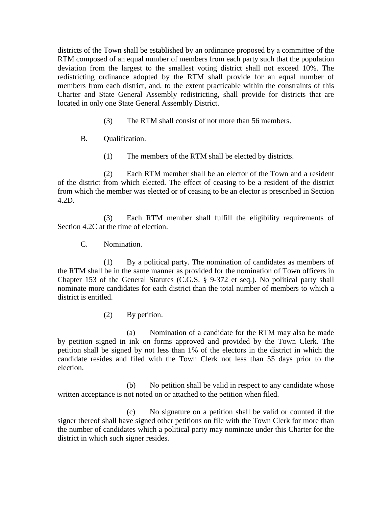districts of the Town shall be established by an ordinance proposed by a committee of the RTM composed of an equal number of members from each party such that the population deviation from the largest to the smallest voting district shall not exceed 10%. The redistricting ordinance adopted by the RTM shall provide for an equal number of members from each district, and, to the extent practicable within the constraints of this Charter and State General Assembly redistricting, shall provide for districts that are located in only one State General Assembly District.

- (3) The RTM shall consist of not more than 56 members.
- B. Qualification.
	- (1) The members of the RTM shall be elected by districts.

(2) Each RTM member shall be an elector of the Town and a resident of the district from which elected. The effect of ceasing to be a resident of the district from which the member was elected or of ceasing to be an elector is prescribed in Section 4.2D.

(3) Each RTM member shall fulfill the eligibility requirements of Section 4.2C at the time of election.

C. Nomination.

(1) By a political party. The nomination of candidates as members of the RTM shall be in the same manner as provided for the nomination of Town officers in Chapter 153 of the General Statutes (C.G.S. § 9-372 et seq.). No political party shall nominate more candidates for each district than the total number of members to which a district is entitled.

(2) By petition.

(a) Nomination of a candidate for the RTM may also be made by petition signed in ink on forms approved and provided by the Town Clerk. The petition shall be signed by not less than 1% of the electors in the district in which the candidate resides and filed with the Town Clerk not less than 55 days prior to the election.

(b) No petition shall be valid in respect to any candidate whose written acceptance is not noted on or attached to the petition when filed.

(c) No signature on a petition shall be valid or counted if the signer thereof shall have signed other petitions on file with the Town Clerk for more than the number of candidates which a political party may nominate under this Charter for the district in which such signer resides.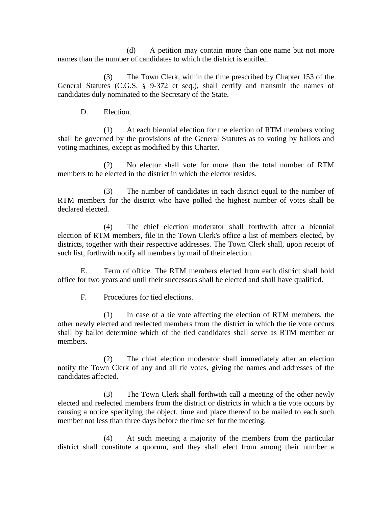(d) A petition may contain more than one name but not more names than the number of candidates to which the district is entitled.

(3) The Town Clerk, within the time prescribed by Chapter 153 of the General Statutes (C.G.S. § 9-372 et seq.), shall certify and transmit the names of candidates duly nominated to the Secretary of the State.

D. Election.

(1) At each biennial election for the election of RTM members voting shall be governed by the provisions of the General Statutes as to voting by ballots and voting machines, except as modified by this Charter.

(2) No elector shall vote for more than the total number of RTM members to be elected in the district in which the elector resides.

(3) The number of candidates in each district equal to the number of RTM members for the district who have polled the highest number of votes shall be declared elected.

(4) The chief election moderator shall forthwith after a biennial election of RTM members, file in the Town Clerk's office a list of members elected, by districts, together with their respective addresses. The Town Clerk shall, upon receipt of such list, forthwith notify all members by mail of their election.

E. Term of office. The RTM members elected from each district shall hold office for two years and until their successors shall be elected and shall have qualified.

F. Procedures for tied elections.

(1) In case of a tie vote affecting the election of RTM members, the other newly elected and reelected members from the district in which the tie vote occurs shall by ballot determine which of the tied candidates shall serve as RTM member or members.

(2) The chief election moderator shall immediately after an election notify the Town Clerk of any and all tie votes, giving the names and addresses of the candidates affected.

(3) The Town Clerk shall forthwith call a meeting of the other newly elected and reelected members from the district or districts in which a tie vote occurs by causing a notice specifying the object, time and place thereof to be mailed to each such member not less than three days before the time set for the meeting.

(4) At such meeting a majority of the members from the particular district shall constitute a quorum, and they shall elect from among their number a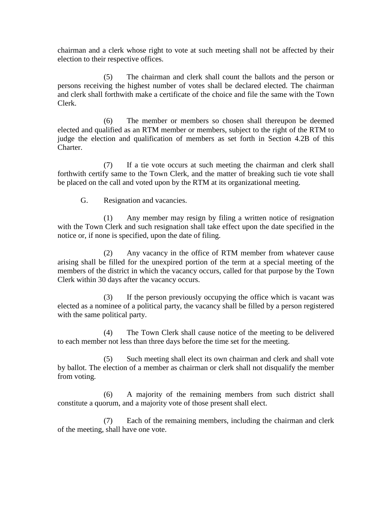chairman and a clerk whose right to vote at such meeting shall not be affected by their election to their respective offices.

(5) The chairman and clerk shall count the ballots and the person or persons receiving the highest number of votes shall be declared elected. The chairman and clerk shall forthwith make a certificate of the choice and file the same with the Town Clerk.

(6) The member or members so chosen shall thereupon be deemed elected and qualified as an RTM member or members, subject to the right of the RTM to judge the election and qualification of members as set forth in Section 4.2B of this Charter.

(7) If a tie vote occurs at such meeting the chairman and clerk shall forthwith certify same to the Town Clerk, and the matter of breaking such tie vote shall be placed on the call and voted upon by the RTM at its organizational meeting.

G. Resignation and vacancies.

(1) Any member may resign by filing a written notice of resignation with the Town Clerk and such resignation shall take effect upon the date specified in the notice or, if none is specified, upon the date of filing.

(2) Any vacancy in the office of RTM member from whatever cause arising shall be filled for the unexpired portion of the term at a special meeting of the members of the district in which the vacancy occurs, called for that purpose by the Town Clerk within 30 days after the vacancy occurs.

(3) If the person previously occupying the office which is vacant was elected as a nominee of a political party, the vacancy shall be filled by a person registered with the same political party.

(4) The Town Clerk shall cause notice of the meeting to be delivered to each member not less than three days before the time set for the meeting.

(5) Such meeting shall elect its own chairman and clerk and shall vote by ballot. The election of a member as chairman or clerk shall not disqualify the member from voting.

(6) A majority of the remaining members from such district shall constitute a quorum, and a majority vote of those present shall elect.

(7) Each of the remaining members, including the chairman and clerk of the meeting, shall have one vote.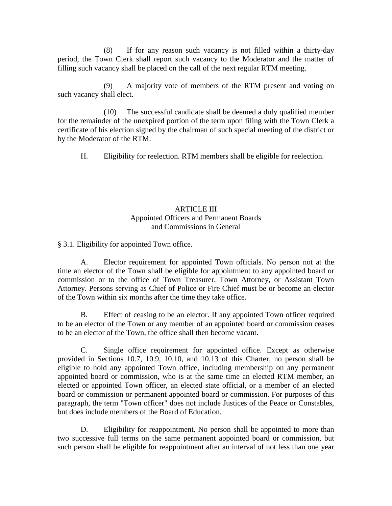(8) If for any reason such vacancy is not filled within a thirty-day period, the Town Clerk shall report such vacancy to the Moderator and the matter of filling such vacancy shall be placed on the call of the next regular RTM meeting.

(9) A majority vote of members of the RTM present and voting on such vacancy shall elect.

(10) The successful candidate shall be deemed a duly qualified member for the remainder of the unexpired portion of the term upon filing with the Town Clerk a certificate of his election signed by the chairman of such special meeting of the district or by the Moderator of the RTM.

H. Eligibility for reelection. RTM members shall be eligible for reelection.

#### ARTICLE III Appointed Officers and Permanent Boards and Commissions in General

§ 3.1. Eligibility for appointed Town office.

A. Elector requirement for appointed Town officials. No person not at the time an elector of the Town shall be eligible for appointment to any appointed board or commission or to the office of Town Treasurer, Town Attorney, or Assistant Town Attorney. Persons serving as Chief of Police or Fire Chief must be or become an elector of the Town within six months after the time they take office.

B. Effect of ceasing to be an elector. If any appointed Town officer required to be an elector of the Town or any member of an appointed board or commission ceases to be an elector of the Town, the office shall then become vacant.

C. Single office requirement for appointed office. Except as otherwise provided in Sections 10.7, 10.9, 10.10, and 10.13 of this Charter, no person shall be eligible to hold any appointed Town office, including membership on any permanent appointed board or commission, who is at the same time an elected RTM member, an elected or appointed Town officer, an elected state official, or a member of an elected board or commission or permanent appointed board or commission. For purposes of this paragraph, the term "Town officer" does not include Justices of the Peace or Constables, but does include members of the Board of Education.

D. Eligibility for reappointment. No person shall be appointed to more than two successive full terms on the same permanent appointed board or commission, but such person shall be eligible for reappointment after an interval of not less than one year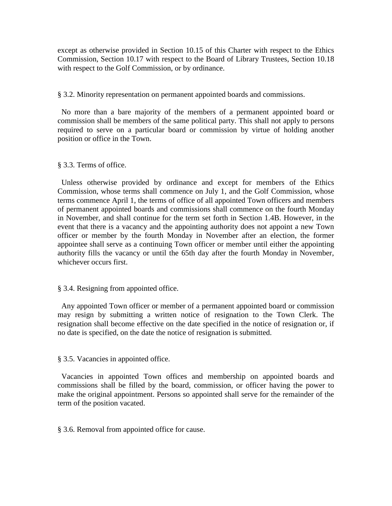except as otherwise provided in Section 10.15 of this Charter with respect to the Ethics Commission, Section 10.17 with respect to the Board of Library Trustees, Section 10.18 with respect to the Golf Commission, or by ordinance.

#### § 3.2. Minority representation on permanent appointed boards and commissions.

 No more than a bare majority of the members of a permanent appointed board or commission shall be members of the same political party. This shall not apply to persons required to serve on a particular board or commission by virtue of holding another position or office in the Town.

#### § 3.3. Terms of office.

 Unless otherwise provided by ordinance and except for members of the Ethics Commission, whose terms shall commence on July 1, and the Golf Commission, whose terms commence April 1, the terms of office of all appointed Town officers and members of permanent appointed boards and commissions shall commence on the fourth Monday in November, and shall continue for the term set forth in Section 1.4B. However, in the event that there is a vacancy and the appointing authority does not appoint a new Town officer or member by the fourth Monday in November after an election, the former appointee shall serve as a continuing Town officer or member until either the appointing authority fills the vacancy or until the 65th day after the fourth Monday in November, whichever occurs first.

#### § 3.4. Resigning from appointed office.

 Any appointed Town officer or member of a permanent appointed board or commission may resign by submitting a written notice of resignation to the Town Clerk. The resignation shall become effective on the date specified in the notice of resignation or, if no date is specified, on the date the notice of resignation is submitted.

#### § 3.5. Vacancies in appointed office.

 Vacancies in appointed Town offices and membership on appointed boards and commissions shall be filled by the board, commission, or officer having the power to make the original appointment. Persons so appointed shall serve for the remainder of the term of the position vacated.

§ 3.6. Removal from appointed office for cause.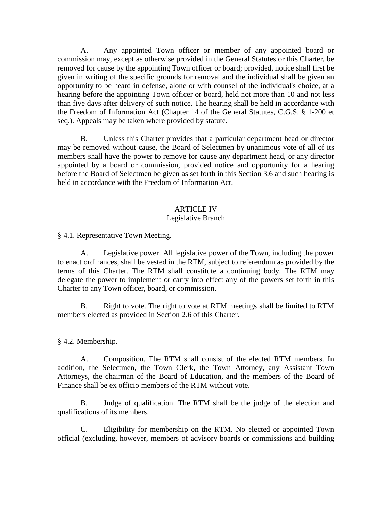A. Any appointed Town officer or member of any appointed board or commission may, except as otherwise provided in the General Statutes or this Charter, be removed for cause by the appointing Town officer or board; provided, notice shall first be given in writing of the specific grounds for removal and the individual shall be given an opportunity to be heard in defense, alone or with counsel of the individual's choice, at a hearing before the appointing Town officer or board, held not more than 10 and not less than five days after delivery of such notice. The hearing shall be held in accordance with the Freedom of Information Act (Chapter 14 of the General Statutes, C.G.S. § 1-200 et seq.). Appeals may be taken where provided by statute.

B. Unless this Charter provides that a particular department head or director may be removed without cause, the Board of Selectmen by unanimous vote of all of its members shall have the power to remove for cause any department head, or any director appointed by a board or commission, provided notice and opportunity for a hearing before the Board of Selectmen be given as set forth in this Section 3.6 and such hearing is held in accordance with the Freedom of Information Act.

#### ARTICLE IV

#### Legislative Branch

§ 4.1. Representative Town Meeting.

A. Legislative power. All legislative power of the Town, including the power to enact ordinances, shall be vested in the RTM, subject to referendum as provided by the terms of this Charter. The RTM shall constitute a continuing body. The RTM may delegate the power to implement or carry into effect any of the powers set forth in this Charter to any Town officer, board, or commission.

B. Right to vote. The right to vote at RTM meetings shall be limited to RTM members elected as provided in Section 2.6 of this Charter.

§ 4.2. Membership.

A. Composition. The RTM shall consist of the elected RTM members. In addition, the Selectmen, the Town Clerk, the Town Attorney, any Assistant Town Attorneys, the chairman of the Board of Education, and the members of the Board of Finance shall be ex officio members of the RTM without vote.

B. Judge of qualification. The RTM shall be the judge of the election and qualifications of its members.

C. Eligibility for membership on the RTM. No elected or appointed Town official (excluding, however, members of advisory boards or commissions and building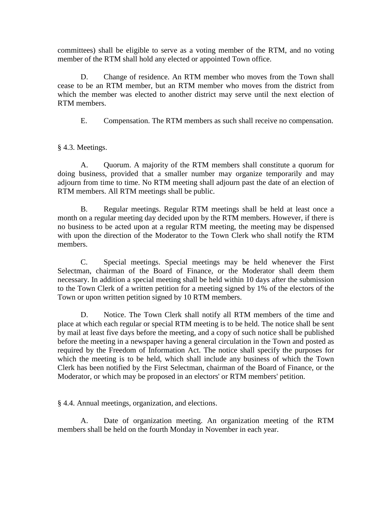committees) shall be eligible to serve as a voting member of the RTM, and no voting member of the RTM shall hold any elected or appointed Town office.

D. Change of residence. An RTM member who moves from the Town shall cease to be an RTM member, but an RTM member who moves from the district from which the member was elected to another district may serve until the next election of RTM members.

E. Compensation. The RTM members as such shall receive no compensation.

§ 4.3. Meetings.

A. Quorum. A majority of the RTM members shall constitute a quorum for doing business, provided that a smaller number may organize temporarily and may adjourn from time to time. No RTM meeting shall adjourn past the date of an election of RTM members. All RTM meetings shall be public.

B. Regular meetings. Regular RTM meetings shall be held at least once a month on a regular meeting day decided upon by the RTM members. However, if there is no business to be acted upon at a regular RTM meeting, the meeting may be dispensed with upon the direction of the Moderator to the Town Clerk who shall notify the RTM members.

C. Special meetings. Special meetings may be held whenever the First Selectman, chairman of the Board of Finance, or the Moderator shall deem them necessary. In addition a special meeting shall be held within 10 days after the submission to the Town Clerk of a written petition for a meeting signed by 1% of the electors of the Town or upon written petition signed by 10 RTM members.

D. Notice. The Town Clerk shall notify all RTM members of the time and place at which each regular or special RTM meeting is to be held. The notice shall be sent by mail at least five days before the meeting, and a copy of such notice shall be published before the meeting in a newspaper having a general circulation in the Town and posted as required by the Freedom of Information Act. The notice shall specify the purposes for which the meeting is to be held, which shall include any business of which the Town Clerk has been notified by the First Selectman, chairman of the Board of Finance, or the Moderator, or which may be proposed in an electors' or RTM members' petition.

§ 4.4. Annual meetings, organization, and elections.

A. Date of organization meeting. An organization meeting of the RTM members shall be held on the fourth Monday in November in each year.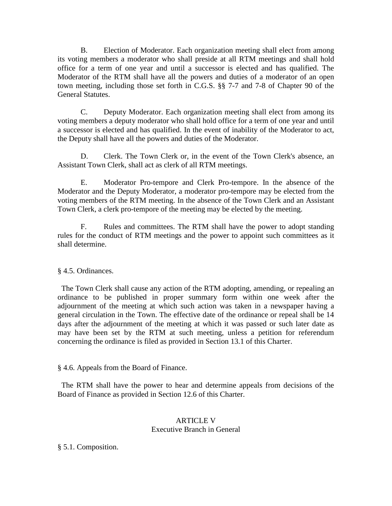B. Election of Moderator. Each organization meeting shall elect from among its voting members a moderator who shall preside at all RTM meetings and shall hold office for a term of one year and until a successor is elected and has qualified. The Moderator of the RTM shall have all the powers and duties of a moderator of an open town meeting, including those set forth in C.G.S. §§ 7-7 and 7-8 of Chapter 90 of the General Statutes.

C. Deputy Moderator. Each organization meeting shall elect from among its voting members a deputy moderator who shall hold office for a term of one year and until a successor is elected and has qualified. In the event of inability of the Moderator to act, the Deputy shall have all the powers and duties of the Moderator.

D. Clerk. The Town Clerk or, in the event of the Town Clerk's absence, an Assistant Town Clerk, shall act as clerk of all RTM meetings.

E. Moderator Pro-tempore and Clerk Pro-tempore. In the absence of the Moderator and the Deputy Moderator, a moderator pro-tempore may be elected from the voting members of the RTM meeting. In the absence of the Town Clerk and an Assistant Town Clerk, a clerk pro-tempore of the meeting may be elected by the meeting.

F. Rules and committees. The RTM shall have the power to adopt standing rules for the conduct of RTM meetings and the power to appoint such committees as it shall determine.

§ 4.5. Ordinances.

 The Town Clerk shall cause any action of the RTM adopting, amending, or repealing an ordinance to be published in proper summary form within one week after the adjournment of the meeting at which such action was taken in a newspaper having a general circulation in the Town. The effective date of the ordinance or repeal shall be 14 days after the adjournment of the meeting at which it was passed or such later date as may have been set by the RTM at such meeting, unless a petition for referendum concerning the ordinance is filed as provided in Section 13.1 of this Charter.

§ 4.6. Appeals from the Board of Finance.

 The RTM shall have the power to hear and determine appeals from decisions of the Board of Finance as provided in Section 12.6 of this Charter.

#### ARTICLE V Executive Branch in General

§ 5.1. Composition.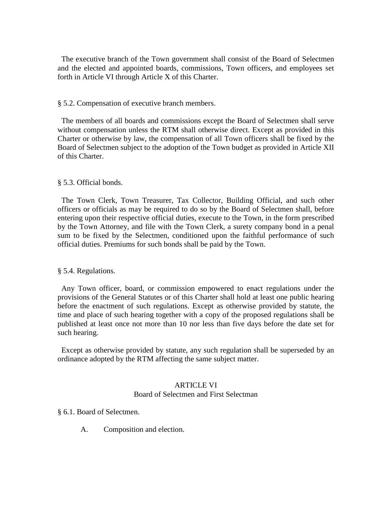The executive branch of the Town government shall consist of the Board of Selectmen and the elected and appointed boards, commissions, Town officers, and employees set forth in Article VI through Article X of this Charter.

#### § 5.2. Compensation of executive branch members.

 The members of all boards and commissions except the Board of Selectmen shall serve without compensation unless the RTM shall otherwise direct. Except as provided in this Charter or otherwise by law, the compensation of all Town officers shall be fixed by the Board of Selectmen subject to the adoption of the Town budget as provided in Article XII of this Charter.

#### § 5.3. Official bonds.

 The Town Clerk, Town Treasurer, Tax Collector, Building Official, and such other officers or officials as may be required to do so by the Board of Selectmen shall, before entering upon their respective official duties, execute to the Town, in the form prescribed by the Town Attorney, and file with the Town Clerk, a surety company bond in a penal sum to be fixed by the Selectmen, conditioned upon the faithful performance of such official duties. Premiums for such bonds shall be paid by the Town.

#### § 5.4. Regulations.

 Any Town officer, board, or commission empowered to enact regulations under the provisions of the General Statutes or of this Charter shall hold at least one public hearing before the enactment of such regulations. Except as otherwise provided by statute, the time and place of such hearing together with a copy of the proposed regulations shall be published at least once not more than 10 nor less than five days before the date set for such hearing.

 Except as otherwise provided by statute, any such regulation shall be superseded by an ordinance adopted by the RTM affecting the same subject matter.

#### ARTICLE VI Board of Selectmen and First Selectman

§ 6.1. Board of Selectmen.

A. Composition and election.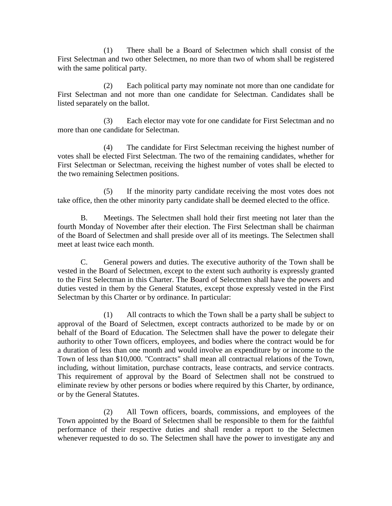(1) There shall be a Board of Selectmen which shall consist of the First Selectman and two other Selectmen, no more than two of whom shall be registered with the same political party.

(2) Each political party may nominate not more than one candidate for First Selectman and not more than one candidate for Selectman. Candidates shall be listed separately on the ballot.

(3) Each elector may vote for one candidate for First Selectman and no more than one candidate for Selectman.

(4) The candidate for First Selectman receiving the highest number of votes shall be elected First Selectman. The two of the remaining candidates, whether for First Selectman or Selectman, receiving the highest number of votes shall be elected to the two remaining Selectmen positions.

(5) If the minority party candidate receiving the most votes does not take office, then the other minority party candidate shall be deemed elected to the office.

B. Meetings. The Selectmen shall hold their first meeting not later than the fourth Monday of November after their election. The First Selectman shall be chairman of the Board of Selectmen and shall preside over all of its meetings. The Selectmen shall meet at least twice each month.

C. General powers and duties. The executive authority of the Town shall be vested in the Board of Selectmen, except to the extent such authority is expressly granted to the First Selectman in this Charter. The Board of Selectmen shall have the powers and duties vested in them by the General Statutes, except those expressly vested in the First Selectman by this Charter or by ordinance. In particular:

(1) All contracts to which the Town shall be a party shall be subject to approval of the Board of Selectmen, except contracts authorized to be made by or on behalf of the Board of Education. The Selectmen shall have the power to delegate their authority to other Town officers, employees, and bodies where the contract would be for a duration of less than one month and would involve an expenditure by or income to the Town of less than \$10,000. "Contracts" shall mean all contractual relations of the Town, including, without limitation, purchase contracts, lease contracts, and service contracts. This requirement of approval by the Board of Selectmen shall not be construed to eliminate review by other persons or bodies where required by this Charter, by ordinance, or by the General Statutes.

(2) All Town officers, boards, commissions, and employees of the Town appointed by the Board of Selectmen shall be responsible to them for the faithful performance of their respective duties and shall render a report to the Selectmen whenever requested to do so. The Selectmen shall have the power to investigate any and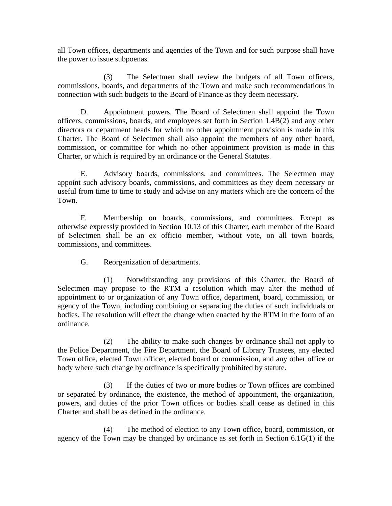all Town offices, departments and agencies of the Town and for such purpose shall have the power to issue subpoenas.

(3) The Selectmen shall review the budgets of all Town officers, commissions, boards, and departments of the Town and make such recommendations in connection with such budgets to the Board of Finance as they deem necessary.

D. Appointment powers. The Board of Selectmen shall appoint the Town officers, commissions, boards, and employees set forth in Section 1.4B(2) and any other directors or department heads for which no other appointment provision is made in this Charter. The Board of Selectmen shall also appoint the members of any other board, commission, or committee for which no other appointment provision is made in this Charter, or which is required by an ordinance or the General Statutes.

E. Advisory boards, commissions, and committees. The Selectmen may appoint such advisory boards, commissions, and committees as they deem necessary or useful from time to time to study and advise on any matters which are the concern of the Town.

F. Membership on boards, commissions, and committees. Except as otherwise expressly provided in Section 10.13 of this Charter, each member of the Board of Selectmen shall be an ex officio member, without vote, on all town boards, commissions, and committees.

G. Reorganization of departments.

(1) Notwithstanding any provisions of this Charter, the Board of Selectmen may propose to the RTM a resolution which may alter the method of appointment to or organization of any Town office, department, board, commission, or agency of the Town, including combining or separating the duties of such individuals or bodies. The resolution will effect the change when enacted by the RTM in the form of an ordinance.

(2) The ability to make such changes by ordinance shall not apply to the Police Department, the Fire Department, the Board of Library Trustees, any elected Town office, elected Town officer, elected board or commission, and any other office or body where such change by ordinance is specifically prohibited by statute.

(3) If the duties of two or more bodies or Town offices are combined or separated by ordinance, the existence, the method of appointment, the organization, powers, and duties of the prior Town offices or bodies shall cease as defined in this Charter and shall be as defined in the ordinance.

(4) The method of election to any Town office, board, commission, or agency of the Town may be changed by ordinance as set forth in Section 6.1G(1) if the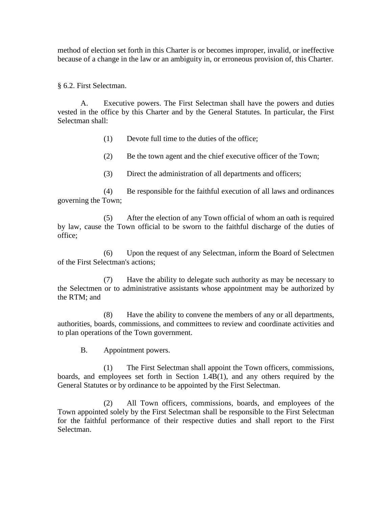method of election set forth in this Charter is or becomes improper, invalid, or ineffective because of a change in the law or an ambiguity in, or erroneous provision of, this Charter.

§ 6.2. First Selectman.

A. Executive powers. The First Selectman shall have the powers and duties vested in the office by this Charter and by the General Statutes. In particular, the First Selectman shall:

(1) Devote full time to the duties of the office;

(2) Be the town agent and the chief executive officer of the Town;

(3) Direct the administration of all departments and officers;

(4) Be responsible for the faithful execution of all laws and ordinances governing the Town;

(5) After the election of any Town official of whom an oath is required by law, cause the Town official to be sworn to the faithful discharge of the duties of office;

(6) Upon the request of any Selectman, inform the Board of Selectmen of the First Selectman's actions;

(7) Have the ability to delegate such authority as may be necessary to the Selectmen or to administrative assistants whose appointment may be authorized by the RTM; and

(8) Have the ability to convene the members of any or all departments, authorities, boards, commissions, and committees to review and coordinate activities and to plan operations of the Town government.

B. Appointment powers.

(1) The First Selectman shall appoint the Town officers, commissions, boards, and employees set forth in Section 1.4B(1), and any others required by the General Statutes or by ordinance to be appointed by the First Selectman.

(2) All Town officers, commissions, boards, and employees of the Town appointed solely by the First Selectman shall be responsible to the First Selectman for the faithful performance of their respective duties and shall report to the First Selectman.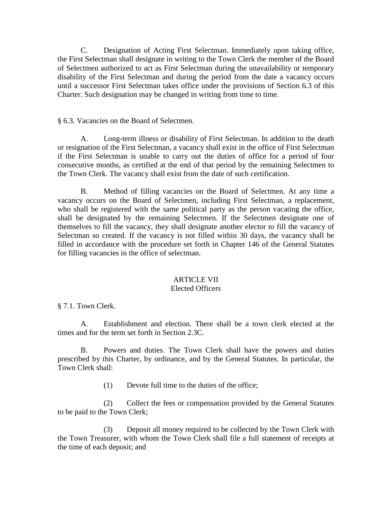C. Designation of Acting First Selectman. Immediately upon taking office, the First Selectman shall designate in writing to the Town Clerk the member of the Board of Selectmen authorized to act as First Selectman during the unavailability or temporary disability of the First Selectman and during the period from the date a vacancy occurs until a successor First Selectman takes office under the provisions of Section 6.3 of this Charter. Such designation may be changed in writing from time to time.

#### § 6.3. Vacancies on the Board of Selectmen.

A. Long-term illness or disability of First Selectman. In addition to the death or resignation of the First Selectman, a vacancy shall exist in the office of First Selectman if the First Selectman is unable to carry out the duties of office for a period of four consecutive months, as certified at the end of that period by the remaining Selectmen to the Town Clerk. The vacancy shall exist from the date of such certification.

B. Method of filling vacancies on the Board of Selectmen. At any time a vacancy occurs on the Board of Selectmen, including First Selectman, a replacement, who shall be registered with the same political party as the person vacating the office, shall be designated by the remaining Selectmen. If the Selectmen designate one of themselves to fill the vacancy, they shall designate another elector to fill the vacancy of Selectman so created. If the vacancy is not filled within 30 days, the vacancy shall be filled in accordance with the procedure set forth in Chapter 146 of the General Statutes for filling vacancies in the office of selectman.

#### ARTICLE VII

#### Elected Officers

§ 7.1. Town Clerk.

A. Establishment and election. There shall be a town clerk elected at the times and for the term set forth in Section 2.3C.

B. Powers and duties. The Town Clerk shall have the powers and duties prescribed by this Charter, by ordinance, and by the General Statutes. In particular, the Town Clerk shall:

(1) Devote full time to the duties of the office;

(2) Collect the fees or compensation provided by the General Statutes to be paid to the Town Clerk;

(3) Deposit all money required to be collected by the Town Clerk with the Town Treasurer, with whom the Town Clerk shall file a full statement of receipts at the time of each deposit; and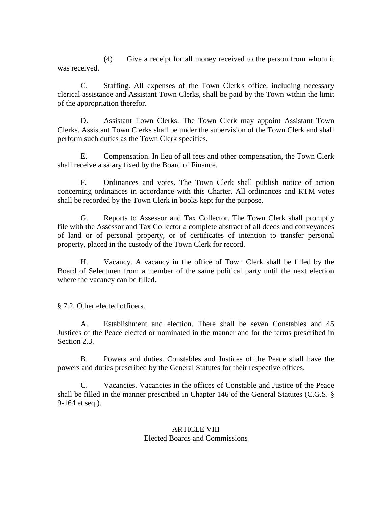(4) Give a receipt for all money received to the person from whom it was received.

C. Staffing. All expenses of the Town Clerk's office, including necessary clerical assistance and Assistant Town Clerks, shall be paid by the Town within the limit of the appropriation therefor.

D. Assistant Town Clerks. The Town Clerk may appoint Assistant Town Clerks. Assistant Town Clerks shall be under the supervision of the Town Clerk and shall perform such duties as the Town Clerk specifies.

E. Compensation. In lieu of all fees and other compensation, the Town Clerk shall receive a salary fixed by the Board of Finance.

F. Ordinances and votes. The Town Clerk shall publish notice of action concerning ordinances in accordance with this Charter. All ordinances and RTM votes shall be recorded by the Town Clerk in books kept for the purpose.

G. Reports to Assessor and Tax Collector. The Town Clerk shall promptly file with the Assessor and Tax Collector a complete abstract of all deeds and conveyances of land or of personal property, or of certificates of intention to transfer personal property, placed in the custody of the Town Clerk for record.

H. Vacancy. A vacancy in the office of Town Clerk shall be filled by the Board of Selectmen from a member of the same political party until the next election where the vacancy can be filled.

§ 7.2. Other elected officers.

A. Establishment and election. There shall be seven Constables and 45 Justices of the Peace elected or nominated in the manner and for the terms prescribed in Section 2.3.

B. Powers and duties. Constables and Justices of the Peace shall have the powers and duties prescribed by the General Statutes for their respective offices.

C. Vacancies. Vacancies in the offices of Constable and Justice of the Peace shall be filled in the manner prescribed in Chapter 146 of the General Statutes (C.G.S. § 9-164 et seq.).

#### ARTICLE VIII Elected Boards and Commissions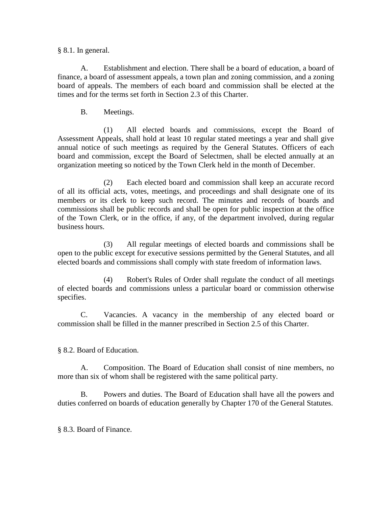#### § 8.1. In general.

A. Establishment and election. There shall be a board of education, a board of finance, a board of assessment appeals, a town plan and zoning commission, and a zoning board of appeals. The members of each board and commission shall be elected at the times and for the terms set forth in Section 2.3 of this Charter.

B. Meetings.

(1) All elected boards and commissions, except the Board of Assessment Appeals, shall hold at least 10 regular stated meetings a year and shall give annual notice of such meetings as required by the General Statutes. Officers of each board and commission, except the Board of Selectmen, shall be elected annually at an organization meeting so noticed by the Town Clerk held in the month of December.

(2) Each elected board and commission shall keep an accurate record of all its official acts, votes, meetings, and proceedings and shall designate one of its members or its clerk to keep such record. The minutes and records of boards and commissions shall be public records and shall be open for public inspection at the office of the Town Clerk, or in the office, if any, of the department involved, during regular business hours.

(3) All regular meetings of elected boards and commissions shall be open to the public except for executive sessions permitted by the General Statutes, and all elected boards and commissions shall comply with state freedom of information laws.

(4) Robert's Rules of Order shall regulate the conduct of all meetings of elected boards and commissions unless a particular board or commission otherwise specifies.

C. Vacancies. A vacancy in the membership of any elected board or commission shall be filled in the manner prescribed in Section 2.5 of this Charter.

§ 8.2. Board of Education.

A. Composition. The Board of Education shall consist of nine members, no more than six of whom shall be registered with the same political party.

B. Powers and duties. The Board of Education shall have all the powers and duties conferred on boards of education generally by Chapter 170 of the General Statutes.

§ 8.3. Board of Finance.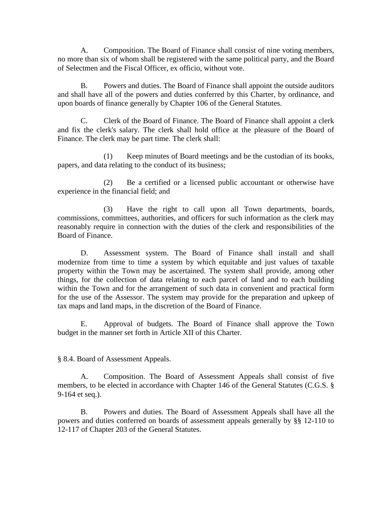A. Composition. The Board of Finance shall consist of nine voting members, no more than six of whom shall be registered with the same political party, and the Board of Selectmen and the Fiscal Officer, ex officio, without vote.

B. Powers and duties. The Board of Finance shall appoint the outside auditors and shall have all of the powers and duties conferred by this Charter, by ordinance, and upon boards of finance generally by Chapter 106 of the General Statutes.

C. Clerk of the Board of Finance. The Board of Finance shall appoint a clerk and fix the clerk's salary. The clerk shall hold office at the pleasure of the Board of Finance. The clerk may be part time. The clerk shall:

(1) Keep minutes of Board meetings and be the custodian of its books, papers, and data relating to the conduct of its business;

(2) Be a certified or a licensed public accountant or otherwise have experience in the financial field; and

(3) Have the right to call upon all Town departments, boards, commissions, committees, authorities, and officers for such information as the clerk may reasonably require in connection with the duties of the clerk and responsibilities of the Board of Finance.

D. Assessment system. The Board of Finance shall install and shall modernize from time to time a system by which equitable and just values of taxable property within the Town may be ascertained. The system shall provide, among other things, for the collection of data relating to each parcel of land and to each building within the Town and for the arrangement of such data in convenient and practical form for the use of the Assessor. The system may provide for the preparation and upkeep of tax maps and land maps, in the discretion of the Board of Finance.

E. Approval of budgets. The Board of Finance shall approve the Town budget in the manner set forth in Article XII of this Charter.

§ 8.4. Board of Assessment Appeals.

A. Composition. The Board of Assessment Appeals shall consist of five members, to be elected in accordance with Chapter 146 of the General Statutes (C.G.S. § 9-164 et seq.).

B. Powers and duties. The Board of Assessment Appeals shall have all the powers and duties conferred on boards of assessment appeals generally by §§ 12-110 to 12-117 of Chapter 203 of the General Statutes.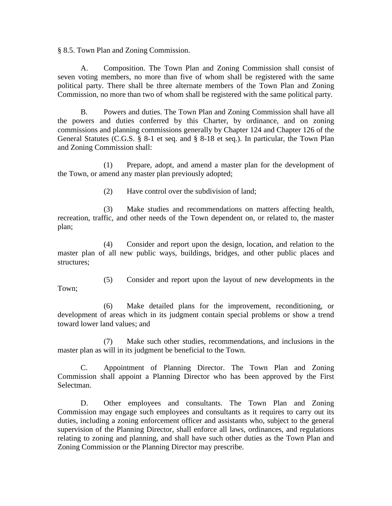§ 8.5. Town Plan and Zoning Commission.

A. Composition. The Town Plan and Zoning Commission shall consist of seven voting members, no more than five of whom shall be registered with the same political party. There shall be three alternate members of the Town Plan and Zoning Commission, no more than two of whom shall be registered with the same political party.

B. Powers and duties. The Town Plan and Zoning Commission shall have all the powers and duties conferred by this Charter, by ordinance, and on zoning commissions and planning commissions generally by Chapter 124 and Chapter 126 of the General Statutes (C.G.S. § 8-1 et seq. and § 8-18 et seq.). In particular, the Town Plan and Zoning Commission shall:

(1) Prepare, adopt, and amend a master plan for the development of the Town, or amend any master plan previously adopted;

(2) Have control over the subdivision of land;

(3) Make studies and recommendations on matters affecting health, recreation, traffic, and other needs of the Town dependent on, or related to, the master plan;

(4) Consider and report upon the design, location, and relation to the master plan of all new public ways, buildings, bridges, and other public places and structures;

(5) Consider and report upon the layout of new developments in the Town;

(6) Make detailed plans for the improvement, reconditioning, or development of areas which in its judgment contain special problems or show a trend toward lower land values; and

(7) Make such other studies, recommendations, and inclusions in the master plan as will in its judgment be beneficial to the Town.

C. Appointment of Planning Director. The Town Plan and Zoning Commission shall appoint a Planning Director who has been approved by the First Selectman.

D. Other employees and consultants. The Town Plan and Zoning Commission may engage such employees and consultants as it requires to carry out its duties, including a zoning enforcement officer and assistants who, subject to the general supervision of the Planning Director, shall enforce all laws, ordinances, and regulations relating to zoning and planning, and shall have such other duties as the Town Plan and Zoning Commission or the Planning Director may prescribe.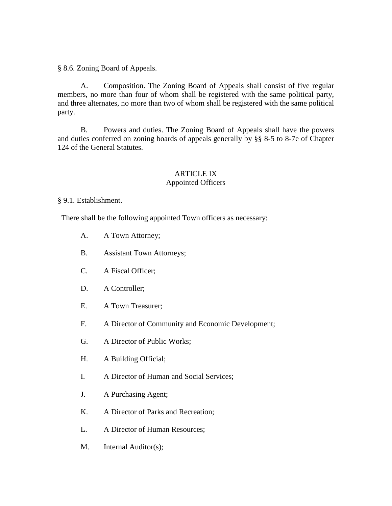§ 8.6. Zoning Board of Appeals.

A. Composition. The Zoning Board of Appeals shall consist of five regular members, no more than four of whom shall be registered with the same political party, and three alternates, no more than two of whom shall be registered with the same political party.

B. Powers and duties. The Zoning Board of Appeals shall have the powers and duties conferred on zoning boards of appeals generally by §§ 8-5 to 8-7e of Chapter 124 of the General Statutes.

#### ARTICLE IX Appointed Officers

§ 9.1. Establishment.

There shall be the following appointed Town officers as necessary:

- A. A Town Attorney;
- B. Assistant Town Attorneys;
- C. A Fiscal Officer;
- D. A Controller;
- E. A Town Treasurer;
- F. A Director of Community and Economic Development;
- G. A Director of Public Works;
- H. A Building Official;
- I. A Director of Human and Social Services;
- J. A Purchasing Agent;
- K. A Director of Parks and Recreation;
- L. A Director of Human Resources;
- M. Internal Auditor(s);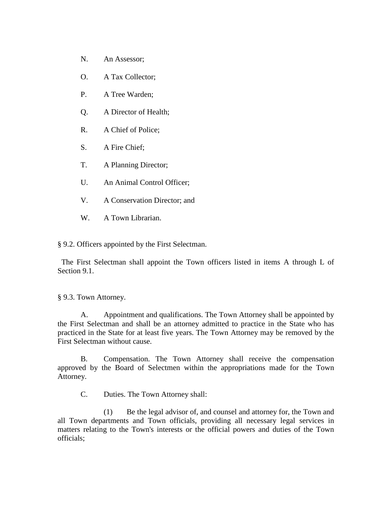- N. An Assessor;
- O. A Tax Collector;
- P. A Tree Warden;
- Q. A Director of Health;
- R. A Chief of Police;
- S. A Fire Chief;
- T. A Planning Director;
- U. An Animal Control Officer;
- V. A Conservation Director; and
- W. A Town Librarian.

§ 9.2. Officers appointed by the First Selectman.

 The First Selectman shall appoint the Town officers listed in items A through L of Section 9.1.

§ 9.3. Town Attorney.

A. Appointment and qualifications. The Town Attorney shall be appointed by the First Selectman and shall be an attorney admitted to practice in the State who has practiced in the State for at least five years. The Town Attorney may be removed by the First Selectman without cause.

B. Compensation. The Town Attorney shall receive the compensation approved by the Board of Selectmen within the appropriations made for the Town Attorney.

C. Duties. The Town Attorney shall:

(1) Be the legal advisor of, and counsel and attorney for, the Town and all Town departments and Town officials, providing all necessary legal services in matters relating to the Town's interests or the official powers and duties of the Town officials;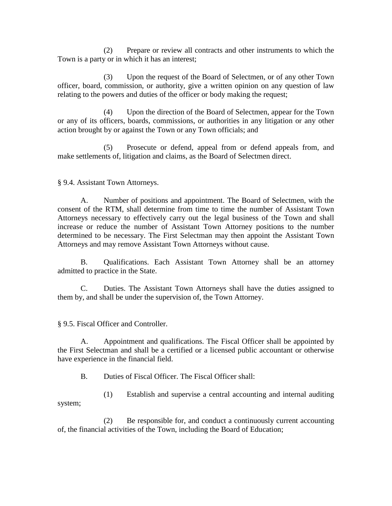(2) Prepare or review all contracts and other instruments to which the Town is a party or in which it has an interest;

(3) Upon the request of the Board of Selectmen, or of any other Town officer, board, commission, or authority, give a written opinion on any question of law relating to the powers and duties of the officer or body making the request;

(4) Upon the direction of the Board of Selectmen, appear for the Town or any of its officers, boards, commissions, or authorities in any litigation or any other action brought by or against the Town or any Town officials; and

(5) Prosecute or defend, appeal from or defend appeals from, and make settlements of, litigation and claims, as the Board of Selectmen direct.

#### § 9.4. Assistant Town Attorneys.

A. Number of positions and appointment. The Board of Selectmen, with the consent of the RTM, shall determine from time to time the number of Assistant Town Attorneys necessary to effectively carry out the legal business of the Town and shall increase or reduce the number of Assistant Town Attorney positions to the number determined to be necessary. The First Selectman may then appoint the Assistant Town Attorneys and may remove Assistant Town Attorneys without cause.

B. Qualifications. Each Assistant Town Attorney shall be an attorney admitted to practice in the State.

C. Duties. The Assistant Town Attorneys shall have the duties assigned to them by, and shall be under the supervision of, the Town Attorney.

§ 9.5. Fiscal Officer and Controller.

A. Appointment and qualifications. The Fiscal Officer shall be appointed by the First Selectman and shall be a certified or a licensed public accountant or otherwise have experience in the financial field.

B. Duties of Fiscal Officer. The Fiscal Officer shall:

(1) Establish and supervise a central accounting and internal auditing system;

(2) Be responsible for, and conduct a continuously current accounting of, the financial activities of the Town, including the Board of Education;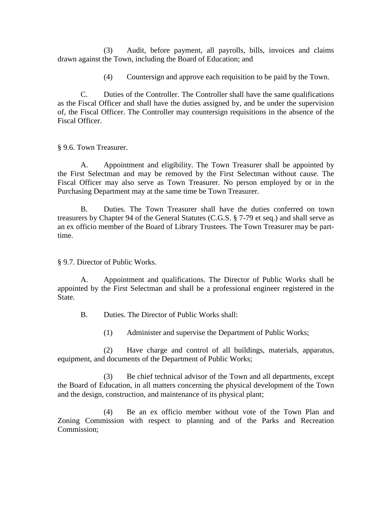(3) Audit, before payment, all payrolls, bills, invoices and claims drawn against the Town, including the Board of Education; and

(4) Countersign and approve each requisition to be paid by the Town.

C. Duties of the Controller. The Controller shall have the same qualifications as the Fiscal Officer and shall have the duties assigned by, and be under the supervision of, the Fiscal Officer. The Controller may countersign requisitions in the absence of the Fiscal Officer.

§ 9.6. Town Treasurer.

A. Appointment and eligibility. The Town Treasurer shall be appointed by the First Selectman and may be removed by the First Selectman without cause. The Fiscal Officer may also serve as Town Treasurer. No person employed by or in the Purchasing Department may at the same time be Town Treasurer.

B. Duties. The Town Treasurer shall have the duties conferred on town treasurers by Chapter 94 of the General Statutes (C.G.S. § 7-79 et seq.) and shall serve as an ex officio member of the Board of Library Trustees. The Town Treasurer may be parttime.

§ 9.7. Director of Public Works.

A. Appointment and qualifications. The Director of Public Works shall be appointed by the First Selectman and shall be a professional engineer registered in the State.

B. Duties. The Director of Public Works shall:

(1) Administer and supervise the Department of Public Works;

(2) Have charge and control of all buildings, materials, apparatus, equipment, and documents of the Department of Public Works;

(3) Be chief technical advisor of the Town and all departments, except the Board of Education, in all matters concerning the physical development of the Town and the design, construction, and maintenance of its physical plant;

(4) Be an ex officio member without vote of the Town Plan and Zoning Commission with respect to planning and of the Parks and Recreation Commission;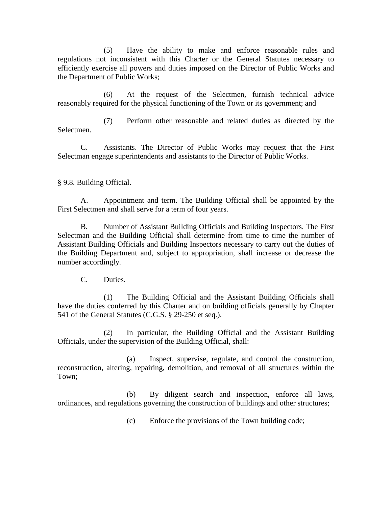(5) Have the ability to make and enforce reasonable rules and regulations not inconsistent with this Charter or the General Statutes necessary to efficiently exercise all powers and duties imposed on the Director of Public Works and the Department of Public Works;

(6) At the request of the Selectmen, furnish technical advice reasonably required for the physical functioning of the Town or its government; and

(7) Perform other reasonable and related duties as directed by the Selectmen.

C. Assistants. The Director of Public Works may request that the First Selectman engage superintendents and assistants to the Director of Public Works.

§ 9.8. Building Official.

A. Appointment and term. The Building Official shall be appointed by the First Selectmen and shall serve for a term of four years.

B. Number of Assistant Building Officials and Building Inspectors. The First Selectman and the Building Official shall determine from time to time the number of Assistant Building Officials and Building Inspectors necessary to carry out the duties of the Building Department and, subject to appropriation, shall increase or decrease the number accordingly.

C. Duties.

(1) The Building Official and the Assistant Building Officials shall have the duties conferred by this Charter and on building officials generally by Chapter 541 of the General Statutes (C.G.S. § 29-250 et seq.).

(2) In particular, the Building Official and the Assistant Building Officials, under the supervision of the Building Official, shall:

(a) Inspect, supervise, regulate, and control the construction, reconstruction, altering, repairing, demolition, and removal of all structures within the Town;

(b) By diligent search and inspection, enforce all laws, ordinances, and regulations governing the construction of buildings and other structures;

(c) Enforce the provisions of the Town building code;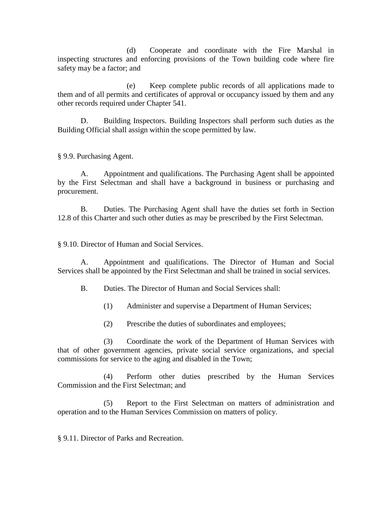(d) Cooperate and coordinate with the Fire Marshal in inspecting structures and enforcing provisions of the Town building code where fire safety may be a factor; and

(e) Keep complete public records of all applications made to them and of all permits and certificates of approval or occupancy issued by them and any other records required under Chapter 541.

D. Building Inspectors. Building Inspectors shall perform such duties as the Building Official shall assign within the scope permitted by law.

§ 9.9. Purchasing Agent.

A. Appointment and qualifications. The Purchasing Agent shall be appointed by the First Selectman and shall have a background in business or purchasing and procurement.

B. Duties. The Purchasing Agent shall have the duties set forth in Section 12.8 of this Charter and such other duties as may be prescribed by the First Selectman.

§ 9.10. Director of Human and Social Services.

A. Appointment and qualifications. The Director of Human and Social Services shall be appointed by the First Selectman and shall be trained in social services.

B. Duties. The Director of Human and Social Services shall:

- (1) Administer and supervise a Department of Human Services;
- (2) Prescribe the duties of subordinates and employees;

(3) Coordinate the work of the Department of Human Services with that of other government agencies, private social service organizations, and special commissions for service to the aging and disabled in the Town;

(4) Perform other duties prescribed by the Human Services Commission and the First Selectman; and

(5) Report to the First Selectman on matters of administration and operation and to the Human Services Commission on matters of policy.

§ 9.11. Director of Parks and Recreation.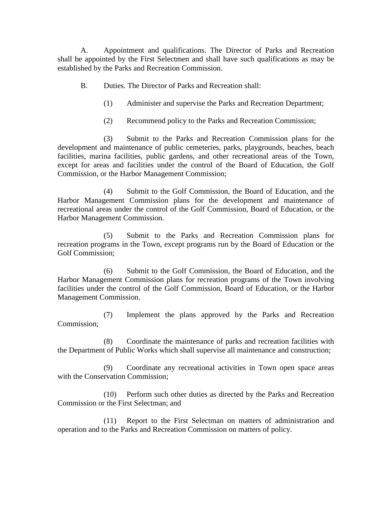A. Appointment and qualifications. The Director of Parks and Recreation shall be appointed by the First Selectmen and shall have such qualifications as may be established by the Parks and Recreation Commission.

- B. Duties. The Director of Parks and Recreation shall:
	- (1) Administer and supervise the Parks and Recreation Department;
	- (2) Recommend policy to the Parks and Recreation Commission;

(3) Submit to the Parks and Recreation Commission plans for the development and maintenance of public cemeteries, parks, playgrounds, beaches, beach facilities, marina facilities, public gardens, and other recreational areas of the Town, except for areas and facilities under the control of the Board of Education, the Golf Commission, or the Harbor Management Commission;

(4) Submit to the Golf Commission, the Board of Education, and the Harbor Management Commission plans for the development and maintenance of recreational areas under the control of the Golf Commission, Board of Education, or the Harbor Management Commission.

(5) Submit to the Parks and Recreation Commission plans for recreation programs in the Town, except programs run by the Board of Education or the Golf Commission;

(6) Submit to the Golf Commission, the Board of Education, and the Harbor Management Commission plans for recreation programs of the Town involving facilities under the control of the Golf Commission, Board of Education, or the Harbor Management Commission.

(7) Implement the plans approved by the Parks and Recreation Commission;

(8) Coordinate the maintenance of parks and recreation facilities with the Department of Public Works which shall supervise all maintenance and construction;

(9) Coordinate any recreational activities in Town open space areas with the Conservation Commission;

(10) Perform such other duties as directed by the Parks and Recreation Commission or the First Selectman; and

(11) Report to the First Selectman on matters of administration and operation and to the Parks and Recreation Commission on matters of policy.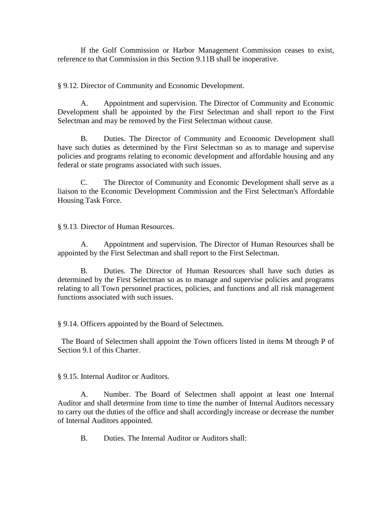If the Golf Commission or Harbor Management Commission ceases to exist, reference to that Commission in this Section 9.11B shall be inoperative.

§ 9.12. Director of Community and Economic Development.

A. Appointment and supervision. The Director of Community and Economic Development shall be appointed by the First Selectman and shall report to the First Selectman and may be removed by the First Selectman without cause.

B. Duties. The Director of Community and Economic Development shall have such duties as determined by the First Selectman so as to manage and supervise policies and programs relating to economic development and affordable housing and any federal or state programs associated with such issues.

C. The Director of Community and Economic Development shall serve as a liaison to the Economic Development Commission and the First Selectman's Affordable Housing Task Force.

§ 9.13. Director of Human Resources.

A. Appointment and supervision. The Director of Human Resources shall be appointed by the First Selectman and shall report to the First Selectman.

B. Duties. The Director of Human Resources shall have such duties as determined by the First Selectman so as to manage and supervise policies and programs relating to all Town personnel practices, policies, and functions and all risk management functions associated with such issues.

§ 9.14. Officers appointed by the Board of Selectmen.

 The Board of Selectmen shall appoint the Town officers listed in items M through P of Section 9.1 of this Charter.

§ 9.15. Internal Auditor or Auditors.

A. Number. The Board of Selectmen shall appoint at least one Internal Auditor and shall determine from time to time the number of Internal Auditors necessary to carry out the duties of the office and shall accordingly increase or decrease the number of Internal Auditors appointed.

B. Duties. The Internal Auditor or Auditors shall: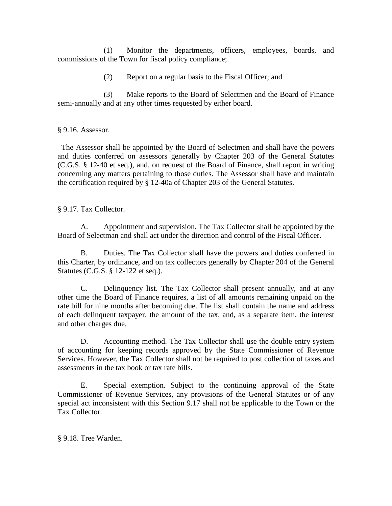(1) Monitor the departments, officers, employees, boards, and commissions of the Town for fiscal policy compliance;

(2) Report on a regular basis to the Fiscal Officer; and

(3) Make reports to the Board of Selectmen and the Board of Finance semi-annually and at any other times requested by either board.

§ 9.16. Assessor.

 The Assessor shall be appointed by the Board of Selectmen and shall have the powers and duties conferred on assessors generally by Chapter 203 of the General Statutes (C.G.S. § 12-40 et seq.), and, on request of the Board of Finance, shall report in writing concerning any matters pertaining to those duties. The Assessor shall have and maintain the certification required by § 12-40a of Chapter 203 of the General Statutes.

§ 9.17. Tax Collector.

A. Appointment and supervision. The Tax Collector shall be appointed by the Board of Selectman and shall act under the direction and control of the Fiscal Officer.

B. Duties. The Tax Collector shall have the powers and duties conferred in this Charter, by ordinance, and on tax collectors generally by Chapter 204 of the General Statutes (C.G.S. § 12-122 et seq.).

C. Delinquency list. The Tax Collector shall present annually, and at any other time the Board of Finance requires, a list of all amounts remaining unpaid on the rate bill for nine months after becoming due. The list shall contain the name and address of each delinquent taxpayer, the amount of the tax, and, as a separate item, the interest and other charges due.

D. Accounting method. The Tax Collector shall use the double entry system of accounting for keeping records approved by the State Commissioner of Revenue Services. However, the Tax Collector shall not be required to post collection of taxes and assessments in the tax book or tax rate bills.

E. Special exemption. Subject to the continuing approval of the State Commissioner of Revenue Services, any provisions of the General Statutes or of any special act inconsistent with this Section 9.17 shall not be applicable to the Town or the Tax Collector.

§ 9.18. Tree Warden.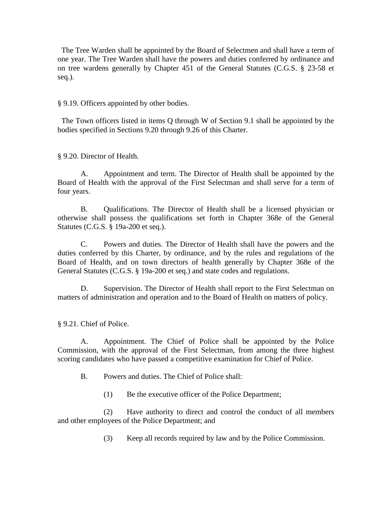The Tree Warden shall be appointed by the Board of Selectmen and shall have a term of one year. The Tree Warden shall have the powers and duties conferred by ordinance and on tree wardens generally by Chapter 451 of the General Statutes (C.G.S. § 23-58 et seq.).

§ 9.19. Officers appointed by other bodies.

 The Town officers listed in items Q through W of Section 9.1 shall be appointed by the bodies specified in Sections 9.20 through 9.26 of this Charter.

§ 9.20. Director of Health.

A. Appointment and term. The Director of Health shall be appointed by the Board of Health with the approval of the First Selectman and shall serve for a term of four years.

B. Qualifications. The Director of Health shall be a licensed physician or otherwise shall possess the qualifications set forth in Chapter 368e of the General Statutes (C.G.S. § 19a-200 et seq.).

C. Powers and duties. The Director of Health shall have the powers and the duties conferred by this Charter, by ordinance, and by the rules and regulations of the Board of Health, and on town directors of health generally by Chapter 368e of the General Statutes (C.G.S. § 19a-200 et seq.) and state codes and regulations.

D. Supervision. The Director of Health shall report to the First Selectman on matters of administration and operation and to the Board of Health on matters of policy.

§ 9.21. Chief of Police.

A. Appointment. The Chief of Police shall be appointed by the Police Commission, with the approval of the First Selectman, from among the three highest scoring candidates who have passed a competitive examination for Chief of Police.

B. Powers and duties. The Chief of Police shall:

(1) Be the executive officer of the Police Department;

(2) Have authority to direct and control the conduct of all members and other employees of the Police Department; and

(3) Keep all records required by law and by the Police Commission.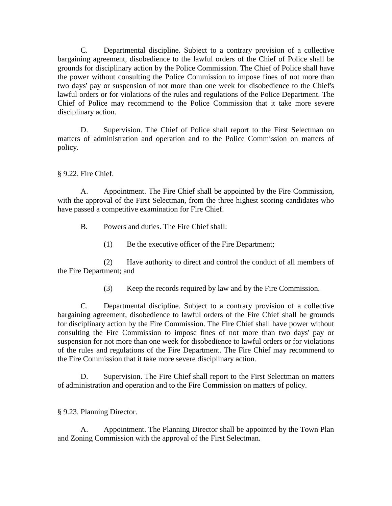C. Departmental discipline. Subject to a contrary provision of a collective bargaining agreement, disobedience to the lawful orders of the Chief of Police shall be grounds for disciplinary action by the Police Commission. The Chief of Police shall have the power without consulting the Police Commission to impose fines of not more than two days' pay or suspension of not more than one week for disobedience to the Chief's lawful orders or for violations of the rules and regulations of the Police Department. The Chief of Police may recommend to the Police Commission that it take more severe disciplinary action.

D. Supervision. The Chief of Police shall report to the First Selectman on matters of administration and operation and to the Police Commission on matters of policy.

§ 9.22. Fire Chief.

A. Appointment. The Fire Chief shall be appointed by the Fire Commission, with the approval of the First Selectman, from the three highest scoring candidates who have passed a competitive examination for Fire Chief.

B. Powers and duties. The Fire Chief shall:

(1) Be the executive officer of the Fire Department;

(2) Have authority to direct and control the conduct of all members of the Fire Department; and

(3) Keep the records required by law and by the Fire Commission.

C. Departmental discipline. Subject to a contrary provision of a collective bargaining agreement, disobedience to lawful orders of the Fire Chief shall be grounds for disciplinary action by the Fire Commission. The Fire Chief shall have power without consulting the Fire Commission to impose fines of not more than two days' pay or suspension for not more than one week for disobedience to lawful orders or for violations of the rules and regulations of the Fire Department. The Fire Chief may recommend to the Fire Commission that it take more severe disciplinary action.

D. Supervision. The Fire Chief shall report to the First Selectman on matters of administration and operation and to the Fire Commission on matters of policy.

§ 9.23. Planning Director.

A. Appointment. The Planning Director shall be appointed by the Town Plan and Zoning Commission with the approval of the First Selectman.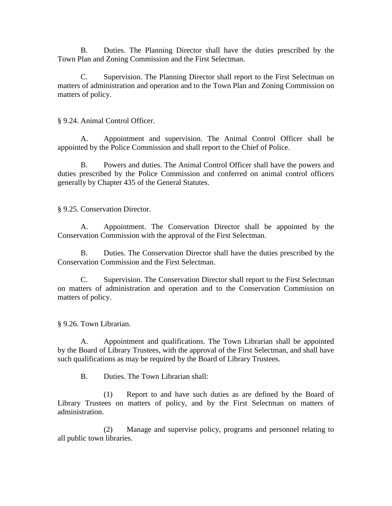B. Duties. The Planning Director shall have the duties prescribed by the Town Plan and Zoning Commission and the First Selectman.

C. Supervision. The Planning Director shall report to the First Selectman on matters of administration and operation and to the Town Plan and Zoning Commission on matters of policy.

§ 9.24. Animal Control Officer.

A. Appointment and supervision. The Animal Control Officer shall be appointed by the Police Commission and shall report to the Chief of Police.

B. Powers and duties. The Animal Control Officer shall have the powers and duties prescribed by the Police Commission and conferred on animal control officers generally by Chapter 435 of the General Statutes.

§ 9.25. Conservation Director.

A. Appointment. The Conservation Director shall be appointed by the Conservation Commission with the approval of the First Selectman.

B. Duties. The Conservation Director shall have the duties prescribed by the Conservation Commission and the First Selectman.

C. Supervision. The Conservation Director shall report to the First Selectman on matters of administration and operation and to the Conservation Commission on matters of policy.

§ 9.26. Town Librarian.

A. Appointment and qualifications. The Town Librarian shall be appointed by the Board of Library Trustees, with the approval of the First Selectman, and shall have such qualifications as may be required by the Board of Library Trustees.

B. Duties. The Town Librarian shall:

(1) Report to and have such duties as are defined by the Board of Library Trustees on matters of policy, and by the First Selectman on matters of administration.

(2) Manage and supervise policy, programs and personnel relating to all public town libraries.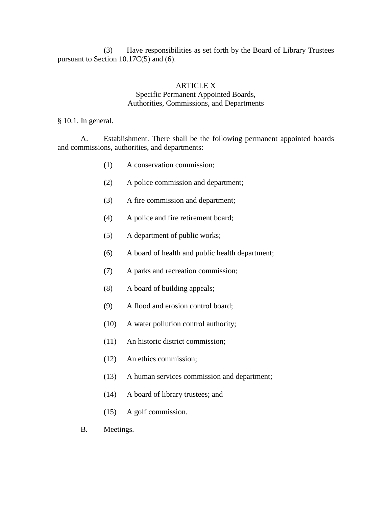(3) Have responsibilities as set forth by the Board of Library Trustees pursuant to Section 10.17C(5) and (6).

#### ARTICLE X Specific Permanent Appointed Boards, Authorities, Commissions, and Departments

§ 10.1. In general.

A. Establishment. There shall be the following permanent appointed boards and commissions, authorities, and departments:

- (1) A conservation commission;
- (2) A police commission and department;
- (3) A fire commission and department;
- (4) A police and fire retirement board;
- (5) A department of public works;
- (6) A board of health and public health department;
- (7) A parks and recreation commission;
- (8) A board of building appeals;
- (9) A flood and erosion control board;
- (10) A water pollution control authority;
- (11) An historic district commission;
- (12) An ethics commission;
- (13) A human services commission and department;
- (14) A board of library trustees; and
- (15) A golf commission.
- B. Meetings.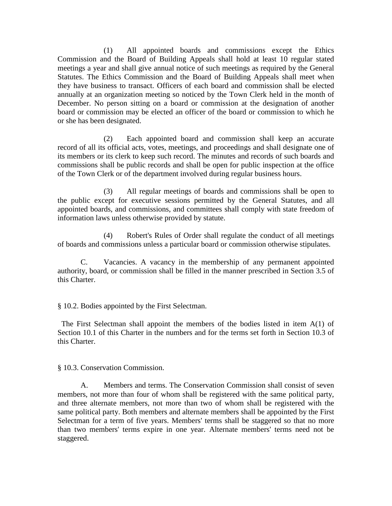(1) All appointed boards and commissions except the Ethics Commission and the Board of Building Appeals shall hold at least 10 regular stated meetings a year and shall give annual notice of such meetings as required by the General Statutes. The Ethics Commission and the Board of Building Appeals shall meet when they have business to transact. Officers of each board and commission shall be elected annually at an organization meeting so noticed by the Town Clerk held in the month of December. No person sitting on a board or commission at the designation of another board or commission may be elected an officer of the board or commission to which he or she has been designated.

(2) Each appointed board and commission shall keep an accurate record of all its official acts, votes, meetings, and proceedings and shall designate one of its members or its clerk to keep such record. The minutes and records of such boards and commissions shall be public records and shall be open for public inspection at the office of the Town Clerk or of the department involved during regular business hours.

(3) All regular meetings of boards and commissions shall be open to the public except for executive sessions permitted by the General Statutes, and all appointed boards, and commissions, and committees shall comply with state freedom of information laws unless otherwise provided by statute.

(4) Robert's Rules of Order shall regulate the conduct of all meetings of boards and commissions unless a particular board or commission otherwise stipulates.

C. Vacancies. A vacancy in the membership of any permanent appointed authority, board, or commission shall be filled in the manner prescribed in Section 3.5 of this Charter.

§ 10.2. Bodies appointed by the First Selectman.

 The First Selectman shall appoint the members of the bodies listed in item A(1) of Section 10.1 of this Charter in the numbers and for the terms set forth in Section 10.3 of this Charter.

§ 10.3. Conservation Commission.

A. Members and terms. The Conservation Commission shall consist of seven members, not more than four of whom shall be registered with the same political party, and three alternate members, not more than two of whom shall be registered with the same political party. Both members and alternate members shall be appointed by the First Selectman for a term of five years. Members' terms shall be staggered so that no more than two members' terms expire in one year. Alternate members' terms need not be staggered.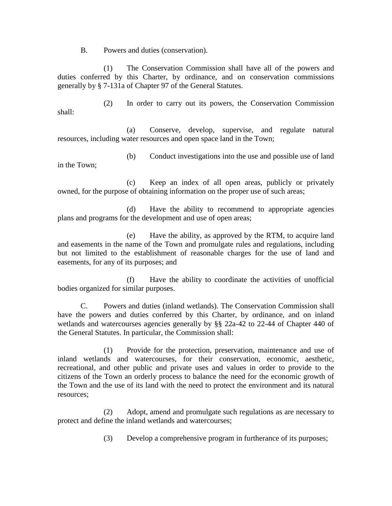B. Powers and duties (conservation).

(1) The Conservation Commission shall have all of the powers and duties conferred by this Charter, by ordinance, and on conservation commissions generally by § 7-131a of Chapter 97 of the General Statutes.

(2) In order to carry out its powers, the Conservation Commission shall:

(a) Conserve, develop, supervise, and regulate natural resources, including water resources and open space land in the Town;

(b) Conduct investigations into the use and possible use of land in the Town;

(c) Keep an index of all open areas, publicly or privately owned, for the purpose of obtaining information on the proper use of such areas;

(d) Have the ability to recommend to appropriate agencies plans and programs for the development and use of open areas;

(e) Have the ability, as approved by the RTM, to acquire land and easements in the name of the Town and promulgate rules and regulations, including but not limited to the establishment of reasonable charges for the use of land and easements, for any of its purposes; and

(f) Have the ability to coordinate the activities of unofficial bodies organized for similar purposes.

C. Powers and duties (inland wetlands). The Conservation Commission shall have the powers and duties conferred by this Charter, by ordinance, and on inland wetlands and watercourses agencies generally by §§ 22a-42 to 22-44 of Chapter 440 of the General Statutes. In particular, the Commission shall:

(1) Provide for the protection, preservation, maintenance and use of inland wetlands and watercourses, for their conservation, economic, aesthetic, recreational, and other public and private uses and values in order to provide to the citizens of the Town an orderly process to balance the need for the economic growth of the Town and the use of its land with the need to protect the environment and its natural resources;

(2) Adopt, amend and promulgate such regulations as are necessary to protect and define the inland wetlands and watercourses;

(3) Develop a comprehensive program in furtherance of its purposes;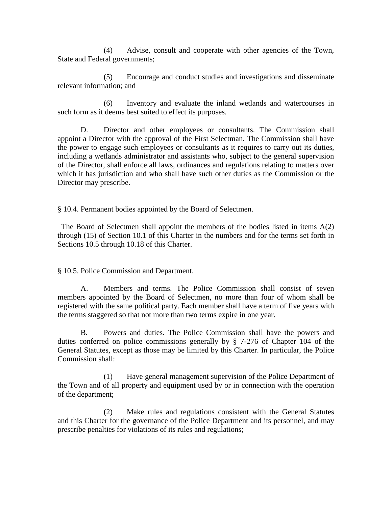(4) Advise, consult and cooperate with other agencies of the Town, State and Federal governments;

(5) Encourage and conduct studies and investigations and disseminate relevant information; and

(6) Inventory and evaluate the inland wetlands and watercourses in such form as it deems best suited to effect its purposes.

D. Director and other employees or consultants. The Commission shall appoint a Director with the approval of the First Selectman. The Commission shall have the power to engage such employees or consultants as it requires to carry out its duties, including a wetlands administrator and assistants who, subject to the general supervision of the Director, shall enforce all laws, ordinances and regulations relating to matters over which it has jurisdiction and who shall have such other duties as the Commission or the Director may prescribe.

§ 10.4. Permanent bodies appointed by the Board of Selectmen.

 The Board of Selectmen shall appoint the members of the bodies listed in items A(2) through (15) of Section 10.1 of this Charter in the numbers and for the terms set forth in Sections 10.5 through 10.18 of this Charter.

§ 10.5. Police Commission and Department.

A. Members and terms. The Police Commission shall consist of seven members appointed by the Board of Selectmen, no more than four of whom shall be registered with the same political party. Each member shall have a term of five years with the terms staggered so that not more than two terms expire in one year.

B. Powers and duties. The Police Commission shall have the powers and duties conferred on police commissions generally by § 7-276 of Chapter 104 of the General Statutes, except as those may be limited by this Charter. In particular, the Police Commission shall:

(1) Have general management supervision of the Police Department of the Town and of all property and equipment used by or in connection with the operation of the department;

(2) Make rules and regulations consistent with the General Statutes and this Charter for the governance of the Police Department and its personnel, and may prescribe penalties for violations of its rules and regulations;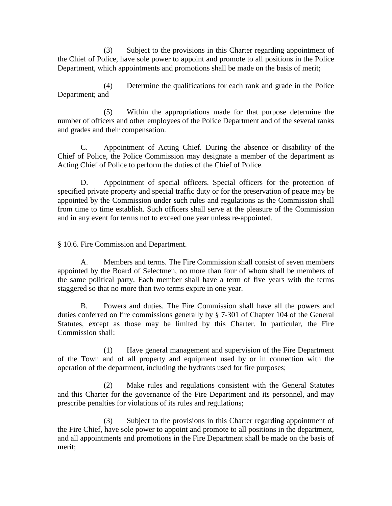(3) Subject to the provisions in this Charter regarding appointment of the Chief of Police, have sole power to appoint and promote to all positions in the Police Department, which appointments and promotions shall be made on the basis of merit;

(4) Determine the qualifications for each rank and grade in the Police Department; and

(5) Within the appropriations made for that purpose determine the number of officers and other employees of the Police Department and of the several ranks and grades and their compensation.

C. Appointment of Acting Chief. During the absence or disability of the Chief of Police, the Police Commission may designate a member of the department as Acting Chief of Police to perform the duties of the Chief of Police.

D. Appointment of special officers. Special officers for the protection of specified private property and special traffic duty or for the preservation of peace may be appointed by the Commission under such rules and regulations as the Commission shall from time to time establish. Such officers shall serve at the pleasure of the Commission and in any event for terms not to exceed one year unless re-appointed.

§ 10.6. Fire Commission and Department.

A. Members and terms. The Fire Commission shall consist of seven members appointed by the Board of Selectmen, no more than four of whom shall be members of the same political party. Each member shall have a term of five years with the terms staggered so that no more than two terms expire in one year.

B. Powers and duties. The Fire Commission shall have all the powers and duties conferred on fire commissions generally by § 7-301 of Chapter 104 of the General Statutes, except as those may be limited by this Charter. In particular, the Fire Commission shall:

(1) Have general management and supervision of the Fire Department of the Town and of all property and equipment used by or in connection with the operation of the department, including the hydrants used for fire purposes;

(2) Make rules and regulations consistent with the General Statutes and this Charter for the governance of the Fire Department and its personnel, and may prescribe penalties for violations of its rules and regulations;

(3) Subject to the provisions in this Charter regarding appointment of the Fire Chief, have sole power to appoint and promote to all positions in the department, and all appointments and promotions in the Fire Department shall be made on the basis of merit;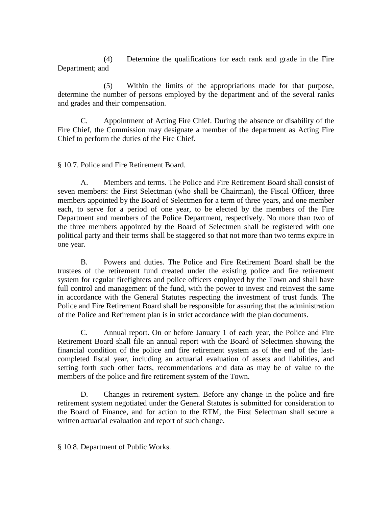(4) Determine the qualifications for each rank and grade in the Fire Department; and

(5) Within the limits of the appropriations made for that purpose, determine the number of persons employed by the department and of the several ranks and grades and their compensation.

C. Appointment of Acting Fire Chief. During the absence or disability of the Fire Chief, the Commission may designate a member of the department as Acting Fire Chief to perform the duties of the Fire Chief.

§ 10.7. Police and Fire Retirement Board.

A. Members and terms. The Police and Fire Retirement Board shall consist of seven members: the First Selectman (who shall be Chairman), the Fiscal Officer, three members appointed by the Board of Selectmen for a term of three years, and one member each, to serve for a period of one year, to be elected by the members of the Fire Department and members of the Police Department, respectively. No more than two of the three members appointed by the Board of Selectmen shall be registered with one political party and their terms shall be staggered so that not more than two terms expire in one year.

B. Powers and duties. The Police and Fire Retirement Board shall be the trustees of the retirement fund created under the existing police and fire retirement system for regular firefighters and police officers employed by the Town and shall have full control and management of the fund, with the power to invest and reinvest the same in accordance with the General Statutes respecting the investment of trust funds. The Police and Fire Retirement Board shall be responsible for assuring that the administration of the Police and Retirement plan is in strict accordance with the plan documents.

C. Annual report. On or before January 1 of each year, the Police and Fire Retirement Board shall file an annual report with the Board of Selectmen showing the financial condition of the police and fire retirement system as of the end of the lastcompleted fiscal year, including an actuarial evaluation of assets and liabilities, and setting forth such other facts, recommendations and data as may be of value to the members of the police and fire retirement system of the Town.

D. Changes in retirement system. Before any change in the police and fire retirement system negotiated under the General Statutes is submitted for consideration to the Board of Finance, and for action to the RTM, the First Selectman shall secure a written actuarial evaluation and report of such change.

§ 10.8. Department of Public Works.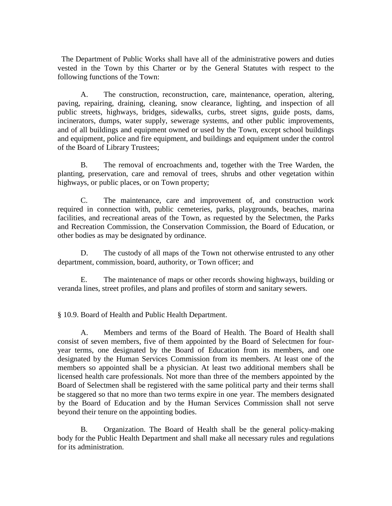The Department of Public Works shall have all of the administrative powers and duties vested in the Town by this Charter or by the General Statutes with respect to the following functions of the Town:

A. The construction, reconstruction, care, maintenance, operation, altering, paving, repairing, draining, cleaning, snow clearance, lighting, and inspection of all public streets, highways, bridges, sidewalks, curbs, street signs, guide posts, dams, incinerators, dumps, water supply, sewerage systems, and other public improvements, and of all buildings and equipment owned or used by the Town, except school buildings and equipment, police and fire equipment, and buildings and equipment under the control of the Board of Library Trustees;

B. The removal of encroachments and, together with the Tree Warden, the planting, preservation, care and removal of trees, shrubs and other vegetation within highways, or public places, or on Town property;

C. The maintenance, care and improvement of, and construction work required in connection with, public cemeteries, parks, playgrounds, beaches, marina facilities, and recreational areas of the Town, as requested by the Selectmen, the Parks and Recreation Commission, the Conservation Commission, the Board of Education, or other bodies as may be designated by ordinance.

D. The custody of all maps of the Town not otherwise entrusted to any other department, commission, board, authority, or Town officer; and

E. The maintenance of maps or other records showing highways, building or veranda lines, street profiles, and plans and profiles of storm and sanitary sewers.

§ 10.9. Board of Health and Public Health Department.

A. Members and terms of the Board of Health. The Board of Health shall consist of seven members, five of them appointed by the Board of Selectmen for fouryear terms, one designated by the Board of Education from its members, and one designated by the Human Services Commission from its members. At least one of the members so appointed shall be a physician. At least two additional members shall be licensed health care professionals. Not more than three of the members appointed by the Board of Selectmen shall be registered with the same political party and their terms shall be staggered so that no more than two terms expire in one year. The members designated by the Board of Education and by the Human Services Commission shall not serve beyond their tenure on the appointing bodies.

B. Organization. The Board of Health shall be the general policy-making body for the Public Health Department and shall make all necessary rules and regulations for its administration.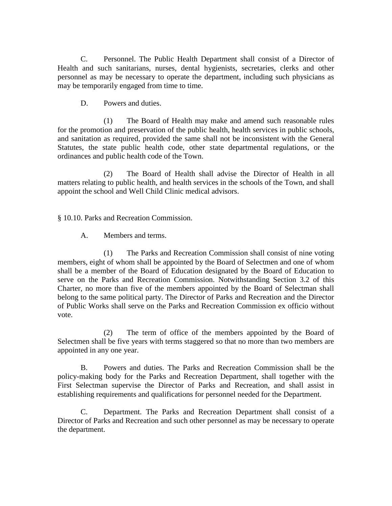C. Personnel. The Public Health Department shall consist of a Director of Health and such sanitarians, nurses, dental hygienists, secretaries, clerks and other personnel as may be necessary to operate the department, including such physicians as may be temporarily engaged from time to time.

D. Powers and duties.

(1) The Board of Health may make and amend such reasonable rules for the promotion and preservation of the public health, health services in public schools, and sanitation as required, provided the same shall not be inconsistent with the General Statutes, the state public health code, other state departmental regulations, or the ordinances and public health code of the Town.

(2) The Board of Health shall advise the Director of Health in all matters relating to public health, and health services in the schools of the Town, and shall appoint the school and Well Child Clinic medical advisors.

§ 10.10. Parks and Recreation Commission.

A. Members and terms.

(1) The Parks and Recreation Commission shall consist of nine voting members, eight of whom shall be appointed by the Board of Selectmen and one of whom shall be a member of the Board of Education designated by the Board of Education to serve on the Parks and Recreation Commission. Notwithstanding Section 3.2 of this Charter, no more than five of the members appointed by the Board of Selectman shall belong to the same political party. The Director of Parks and Recreation and the Director of Public Works shall serve on the Parks and Recreation Commission ex officio without vote.

(2) The term of office of the members appointed by the Board of Selectmen shall be five years with terms staggered so that no more than two members are appointed in any one year.

B. Powers and duties. The Parks and Recreation Commission shall be the policy-making body for the Parks and Recreation Department, shall together with the First Selectman supervise the Director of Parks and Recreation, and shall assist in establishing requirements and qualifications for personnel needed for the Department.

C. Department. The Parks and Recreation Department shall consist of a Director of Parks and Recreation and such other personnel as may be necessary to operate the department.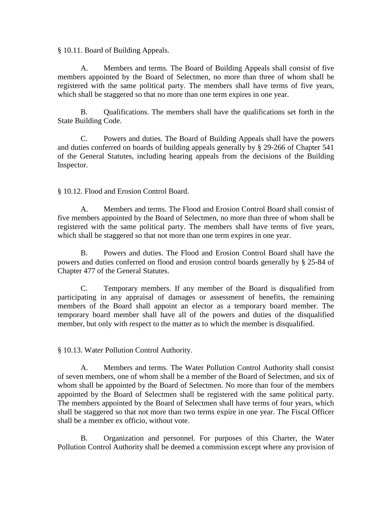§ 10.11. Board of Building Appeals.

A. Members and terms. The Board of Building Appeals shall consist of five members appointed by the Board of Selectmen, no more than three of whom shall be registered with the same political party. The members shall have terms of five years, which shall be staggered so that no more than one term expires in one year.

B. Qualifications. The members shall have the qualifications set forth in the State Building Code.

C. Powers and duties. The Board of Building Appeals shall have the powers and duties conferred on boards of building appeals generally by § 29-266 of Chapter 541 of the General Statutes, including hearing appeals from the decisions of the Building Inspector.

§ 10.12. Flood and Erosion Control Board.

A. Members and terms. The Flood and Erosion Control Board shall consist of five members appointed by the Board of Selectmen, no more than three of whom shall be registered with the same political party. The members shall have terms of five years, which shall be staggered so that not more than one term expires in one year.

B. Powers and duties. The Flood and Erosion Control Board shall have the powers and duties conferred on flood and erosion control boards generally by § 25-84 of Chapter 477 of the General Statutes.

C. Temporary members. If any member of the Board is disqualified from participating in any appraisal of damages or assessment of benefits, the remaining members of the Board shall appoint an elector as a temporary board member. The temporary board member shall have all of the powers and duties of the disqualified member, but only with respect to the matter as to which the member is disqualified.

§ 10.13. Water Pollution Control Authority.

A. Members and terms. The Water Pollution Control Authority shall consist of seven members, one of whom shall be a member of the Board of Selectmen, and six of whom shall be appointed by the Board of Selectmen. No more than four of the members appointed by the Board of Selectmen shall be registered with the same political party. The members appointed by the Board of Selectmen shall have terms of four years, which shall be staggered so that not more than two terms expire in one year. The Fiscal Officer shall be a member ex officio, without vote.

B. Organization and personnel. For purposes of this Charter, the Water Pollution Control Authority shall be deemed a commission except where any provision of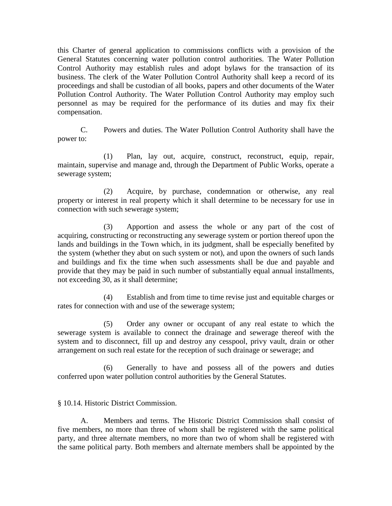this Charter of general application to commissions conflicts with a provision of the General Statutes concerning water pollution control authorities. The Water Pollution Control Authority may establish rules and adopt bylaws for the transaction of its business. The clerk of the Water Pollution Control Authority shall keep a record of its proceedings and shall be custodian of all books, papers and other documents of the Water Pollution Control Authority. The Water Pollution Control Authority may employ such personnel as may be required for the performance of its duties and may fix their compensation.

C. Powers and duties. The Water Pollution Control Authority shall have the power to:

(1) Plan, lay out, acquire, construct, reconstruct, equip, repair, maintain, supervise and manage and, through the Department of Public Works, operate a sewerage system;

(2) Acquire, by purchase, condemnation or otherwise, any real property or interest in real property which it shall determine to be necessary for use in connection with such sewerage system;

(3) Apportion and assess the whole or any part of the cost of acquiring, constructing or reconstructing any sewerage system or portion thereof upon the lands and buildings in the Town which, in its judgment, shall be especially benefited by the system (whether they abut on such system or not), and upon the owners of such lands and buildings and fix the time when such assessments shall be due and payable and provide that they may be paid in such number of substantially equal annual installments, not exceeding 30, as it shall determine;

(4) Establish and from time to time revise just and equitable charges or rates for connection with and use of the sewerage system;

(5) Order any owner or occupant of any real estate to which the sewerage system is available to connect the drainage and sewerage thereof with the system and to disconnect, fill up and destroy any cesspool, privy vault, drain or other arrangement on such real estate for the reception of such drainage or sewerage; and

(6) Generally to have and possess all of the powers and duties conferred upon water pollution control authorities by the General Statutes.

§ 10.14. Historic District Commission.

A. Members and terms. The Historic District Commission shall consist of five members, no more than three of whom shall be registered with the same political party, and three alternate members, no more than two of whom shall be registered with the same political party. Both members and alternate members shall be appointed by the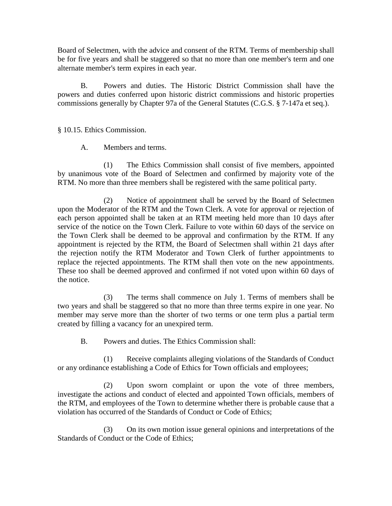Board of Selectmen, with the advice and consent of the RTM. Terms of membership shall be for five years and shall be staggered so that no more than one member's term and one alternate member's term expires in each year.

B. Powers and duties. The Historic District Commission shall have the powers and duties conferred upon historic district commissions and historic properties commissions generally by Chapter 97a of the General Statutes (C.G.S. § 7-147a et seq.).

§ 10.15. Ethics Commission.

A. Members and terms.

(1) The Ethics Commission shall consist of five members, appointed by unanimous vote of the Board of Selectmen and confirmed by majority vote of the RTM. No more than three members shall be registered with the same political party.

(2) Notice of appointment shall be served by the Board of Selectmen upon the Moderator of the RTM and the Town Clerk. A vote for approval or rejection of each person appointed shall be taken at an RTM meeting held more than 10 days after service of the notice on the Town Clerk. Failure to vote within 60 days of the service on the Town Clerk shall be deemed to be approval and confirmation by the RTM. If any appointment is rejected by the RTM, the Board of Selectmen shall within 21 days after the rejection notify the RTM Moderator and Town Clerk of further appointments to replace the rejected appointments. The RTM shall then vote on the new appointments. These too shall be deemed approved and confirmed if not voted upon within 60 days of the notice.

(3) The terms shall commence on July 1. Terms of members shall be two years and shall be staggered so that no more than three terms expire in one year. No member may serve more than the shorter of two terms or one term plus a partial term created by filling a vacancy for an unexpired term.

B. Powers and duties. The Ethics Commission shall:

(1) Receive complaints alleging violations of the Standards of Conduct or any ordinance establishing a Code of Ethics for Town officials and employees;

(2) Upon sworn complaint or upon the vote of three members, investigate the actions and conduct of elected and appointed Town officials, members of the RTM, and employees of the Town to determine whether there is probable cause that a violation has occurred of the Standards of Conduct or Code of Ethics;

(3) On its own motion issue general opinions and interpretations of the Standards of Conduct or the Code of Ethics;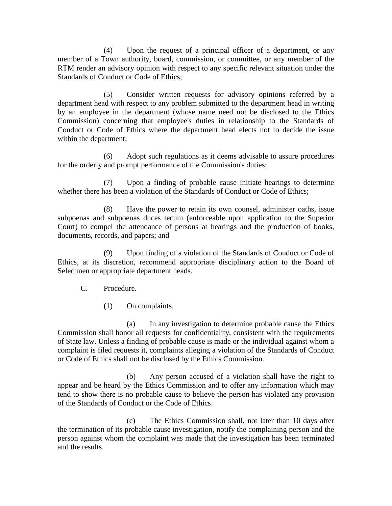(4) Upon the request of a principal officer of a department, or any member of a Town authority, board, commission, or committee, or any member of the RTM render an advisory opinion with respect to any specific relevant situation under the Standards of Conduct or Code of Ethics;

(5) Consider written requests for advisory opinions referred by a department head with respect to any problem submitted to the department head in writing by an employee in the department (whose name need not be disclosed to the Ethics Commission) concerning that employee's duties in relationship to the Standards of Conduct or Code of Ethics where the department head elects not to decide the issue within the department;

(6) Adopt such regulations as it deems advisable to assure procedures for the orderly and prompt performance of the Commission's duties;

(7) Upon a finding of probable cause initiate hearings to determine whether there has been a violation of the Standards of Conduct or Code of Ethics;

(8) Have the power to retain its own counsel, administer oaths, issue subpoenas and subpoenas duces tecum (enforceable upon application to the Superior Court) to compel the attendance of persons at hearings and the production of books, documents, records, and papers; and

(9) Upon finding of a violation of the Standards of Conduct or Code of Ethics, at its discretion, recommend appropriate disciplinary action to the Board of Selectmen or appropriate department heads.

C. Procedure.

(1) On complaints.

(a) In any investigation to determine probable cause the Ethics Commission shall honor all requests for confidentiality, consistent with the requirements of State law. Unless a finding of probable cause is made or the individual against whom a complaint is filed requests it, complaints alleging a violation of the Standards of Conduct or Code of Ethics shall not be disclosed by the Ethics Commission.

(b) Any person accused of a violation shall have the right to appear and be heard by the Ethics Commission and to offer any information which may tend to show there is no probable cause to believe the person has violated any provision of the Standards of Conduct or the Code of Ethics.

(c) The Ethics Commission shall, not later than 10 days after the termination of its probable cause investigation, notify the complaining person and the person against whom the complaint was made that the investigation has been terminated and the results.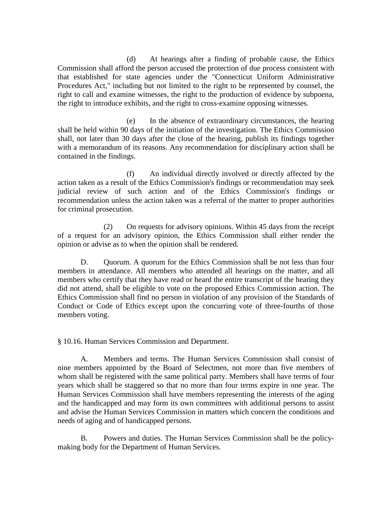(d) At hearings after a finding of probable cause, the Ethics Commission shall afford the person accused the protection of due process consistent with that established for state agencies under the "Connecticut Uniform Administrative Procedures Act," including but not limited to the right to be represented by counsel, the right to call and examine witnesses, the right to the production of evidence by subpoena, the right to introduce exhibits, and the right to cross-examine opposing witnesses.

(e) In the absence of extraordinary circumstances, the hearing shall be held within 90 days of the initiation of the investigation. The Ethics Commission shall, not later than 30 days after the close of the hearing, publish its findings together with a memorandum of its reasons. Any recommendation for disciplinary action shall be contained in the findings.

(f) An individual directly involved or directly affected by the action taken as a result of the Ethics Commission's findings or recommendation may seek judicial review of such action and of the Ethics Commission's findings or recommendation unless the action taken was a referral of the matter to proper authorities for criminal prosecution.

(2) On requests for advisory opinions. Within 45 days from the receipt of a request for an advisory opinion, the Ethics Commission shall either render the opinion or advise as to when the opinion shall be rendered.

D. Quorum. A quorum for the Ethics Commission shall be not less than four members in attendance. All members who attended all hearings on the matter, and all members who certify that they have read or heard the entire transcript of the hearing they did not attend, shall be eligible to vote on the proposed Ethics Commission action. The Ethics Commission shall find no person in violation of any provision of the Standards of Conduct or Code of Ethics except upon the concurring vote of three-fourths of those members voting.

§ 10.16. Human Services Commission and Department.

A. Members and terms. The Human Services Commission shall consist of nine members appointed by the Board of Selectmen, not more than five members of whom shall be registered with the same political party. Members shall have terms of four years which shall be staggered so that no more than four terms expire in one year. The Human Services Commission shall have members representing the interests of the aging and the handicapped and may form its own committees with additional persons to assist and advise the Human Services Commission in matters which concern the conditions and needs of aging and of handicapped persons.

B. Powers and duties. The Human Services Commission shall be the policymaking body for the Department of Human Services.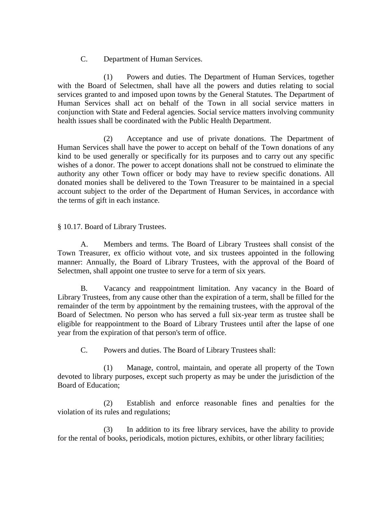C. Department of Human Services.

(1) Powers and duties. The Department of Human Services, together with the Board of Selectmen, shall have all the powers and duties relating to social services granted to and imposed upon towns by the General Statutes. The Department of Human Services shall act on behalf of the Town in all social service matters in conjunction with State and Federal agencies. Social service matters involving community health issues shall be coordinated with the Public Health Department.

(2) Acceptance and use of private donations. The Department of Human Services shall have the power to accept on behalf of the Town donations of any kind to be used generally or specifically for its purposes and to carry out any specific wishes of a donor. The power to accept donations shall not be construed to eliminate the authority any other Town officer or body may have to review specific donations. All donated monies shall be delivered to the Town Treasurer to be maintained in a special account subject to the order of the Department of Human Services, in accordance with the terms of gift in each instance.

§ 10.17. Board of Library Trustees.

A. Members and terms. The Board of Library Trustees shall consist of the Town Treasurer, ex officio without vote, and six trustees appointed in the following manner: Annually, the Board of Library Trustees, with the approval of the Board of Selectmen, shall appoint one trustee to serve for a term of six years.

B. Vacancy and reappointment limitation. Any vacancy in the Board of Library Trustees, from any cause other than the expiration of a term, shall be filled for the remainder of the term by appointment by the remaining trustees, with the approval of the Board of Selectmen. No person who has served a full six-year term as trustee shall be eligible for reappointment to the Board of Library Trustees until after the lapse of one year from the expiration of that person's term of office.

C. Powers and duties. The Board of Library Trustees shall:

(1) Manage, control, maintain, and operate all property of the Town devoted to library purposes, except such property as may be under the jurisdiction of the Board of Education;

(2) Establish and enforce reasonable fines and penalties for the violation of its rules and regulations;

(3) In addition to its free library services, have the ability to provide for the rental of books, periodicals, motion pictures, exhibits, or other library facilities;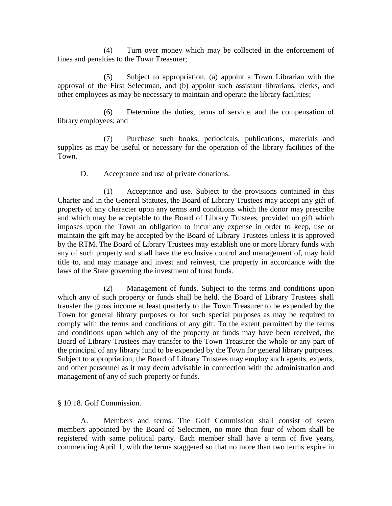(4) Turn over money which may be collected in the enforcement of fines and penalties to the Town Treasurer;

(5) Subject to appropriation, (a) appoint a Town Librarian with the approval of the First Selectman, and (b) appoint such assistant librarians, clerks, and other employees as may be necessary to maintain and operate the library facilities;

(6) Determine the duties, terms of service, and the compensation of library employees; and

(7) Purchase such books, periodicals, publications, materials and supplies as may be useful or necessary for the operation of the library facilities of the Town.

D. Acceptance and use of private donations.

(1) Acceptance and use. Subject to the provisions contained in this Charter and in the General Statutes, the Board of Library Trustees may accept any gift of property of any character upon any terms and conditions which the donor may prescribe and which may be acceptable to the Board of Library Trustees, provided no gift which imposes upon the Town an obligation to incur any expense in order to keep, use or maintain the gift may be accepted by the Board of Library Trustees unless it is approved by the RTM. The Board of Library Trustees may establish one or more library funds with any of such property and shall have the exclusive control and management of, may hold title to, and may manage and invest and reinvest, the property in accordance with the laws of the State governing the investment of trust funds.

(2) Management of funds. Subject to the terms and conditions upon which any of such property or funds shall be held, the Board of Library Trustees shall transfer the gross income at least quarterly to the Town Treasurer to be expended by the Town for general library purposes or for such special purposes as may be required to comply with the terms and conditions of any gift. To the extent permitted by the terms and conditions upon which any of the property or funds may have been received, the Board of Library Trustees may transfer to the Town Treasurer the whole or any part of the principal of any library fund to be expended by the Town for general library purposes. Subject to appropriation, the Board of Library Trustees may employ such agents, experts, and other personnel as it may deem advisable in connection with the administration and management of any of such property or funds.

§ 10.18. Golf Commission.

A. Members and terms. The Golf Commission shall consist of seven members appointed by the Board of Selectmen, no more than four of whom shall be registered with same political party. Each member shall have a term of five years, commencing April 1, with the terms staggered so that no more than two terms expire in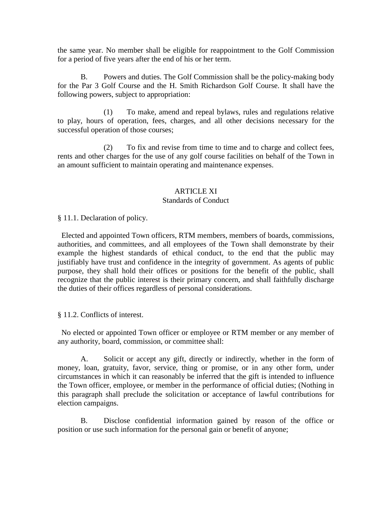the same year. No member shall be eligible for reappointment to the Golf Commission for a period of five years after the end of his or her term.

B. Powers and duties. The Golf Commission shall be the policy-making body for the Par 3 Golf Course and the H. Smith Richardson Golf Course. It shall have the following powers, subject to appropriation:

(1) To make, amend and repeal bylaws, rules and regulations relative to play, hours of operation, fees, charges, and all other decisions necessary for the successful operation of those courses;

(2) To fix and revise from time to time and to charge and collect fees, rents and other charges for the use of any golf course facilities on behalf of the Town in an amount sufficient to maintain operating and maintenance expenses.

#### ARTICLE XI

#### Standards of Conduct

§ 11.1. Declaration of policy.

 Elected and appointed Town officers, RTM members, members of boards, commissions, authorities, and committees, and all employees of the Town shall demonstrate by their example the highest standards of ethical conduct, to the end that the public may justifiably have trust and confidence in the integrity of government. As agents of public purpose, they shall hold their offices or positions for the benefit of the public, shall recognize that the public interest is their primary concern, and shall faithfully discharge the duties of their offices regardless of personal considerations.

§ 11.2. Conflicts of interest.

 No elected or appointed Town officer or employee or RTM member or any member of any authority, board, commission, or committee shall:

A. Solicit or accept any gift, directly or indirectly, whether in the form of money, loan, gratuity, favor, service, thing or promise, or in any other form, under circumstances in which it can reasonably be inferred that the gift is intended to influence the Town officer, employee, or member in the performance of official duties; (Nothing in this paragraph shall preclude the solicitation or acceptance of lawful contributions for election campaigns.

B. Disclose confidential information gained by reason of the office or position or use such information for the personal gain or benefit of anyone;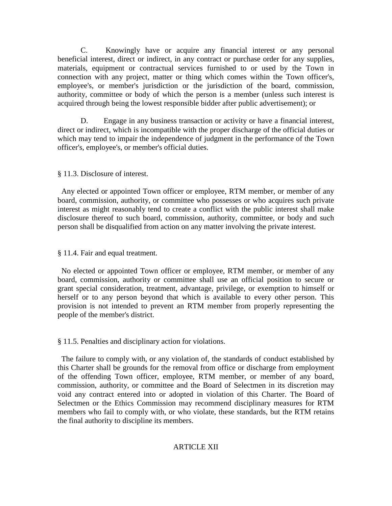C. Knowingly have or acquire any financial interest or any personal beneficial interest, direct or indirect, in any contract or purchase order for any supplies, materials, equipment or contractual services furnished to or used by the Town in connection with any project, matter or thing which comes within the Town officer's, employee's, or member's jurisdiction or the jurisdiction of the board, commission, authority, committee or body of which the person is a member (unless such interest is acquired through being the lowest responsible bidder after public advertisement); or

D. Engage in any business transaction or activity or have a financial interest, direct or indirect, which is incompatible with the proper discharge of the official duties or which may tend to impair the independence of judgment in the performance of the Town officer's, employee's, or member's official duties.

#### § 11.3. Disclosure of interest.

 Any elected or appointed Town officer or employee, RTM member, or member of any board, commission, authority, or committee who possesses or who acquires such private interest as might reasonably tend to create a conflict with the public interest shall make disclosure thereof to such board, commission, authority, committee, or body and such person shall be disqualified from action on any matter involving the private interest.

#### § 11.4. Fair and equal treatment.

 No elected or appointed Town officer or employee, RTM member, or member of any board, commission, authority or committee shall use an official position to secure or grant special consideration, treatment, advantage, privilege, or exemption to himself or herself or to any person beyond that which is available to every other person. This provision is not intended to prevent an RTM member from properly representing the people of the member's district.

§ 11.5. Penalties and disciplinary action for violations.

 The failure to comply with, or any violation of, the standards of conduct established by this Charter shall be grounds for the removal from office or discharge from employment of the offending Town officer, employee, RTM member, or member of any board, commission, authority, or committee and the Board of Selectmen in its discretion may void any contract entered into or adopted in violation of this Charter. The Board of Selectmen or the Ethics Commission may recommend disciplinary measures for RTM members who fail to comply with, or who violate, these standards, but the RTM retains the final authority to discipline its members.

#### ARTICLE XII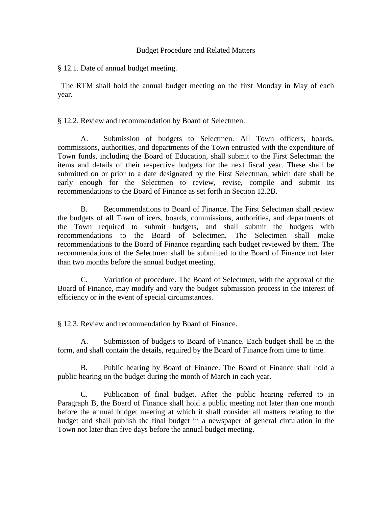#### Budget Procedure and Related Matters

§ 12.1. Date of annual budget meeting.

 The RTM shall hold the annual budget meeting on the first Monday in May of each year.

§ 12.2. Review and recommendation by Board of Selectmen.

A. Submission of budgets to Selectmen. All Town officers, boards, commissions, authorities, and departments of the Town entrusted with the expenditure of Town funds, including the Board of Education, shall submit to the First Selectman the items and details of their respective budgets for the next fiscal year. These shall be submitted on or prior to a date designated by the First Selectman, which date shall be early enough for the Selectmen to review, revise, compile and submit its recommendations to the Board of Finance as set forth in Section 12.2B.

B. Recommendations to Board of Finance. The First Selectman shall review the budgets of all Town officers, boards, commissions, authorities, and departments of the Town required to submit budgets, and shall submit the budgets with recommendations to the Board of Selectmen. The Selectmen shall make recommendations to the Board of Finance regarding each budget reviewed by them. The recommendations of the Selectmen shall be submitted to the Board of Finance not later than two months before the annual budget meeting.

C. Variation of procedure. The Board of Selectmen, with the approval of the Board of Finance, may modify and vary the budget submission process in the interest of efficiency or in the event of special circumstances.

§ 12.3. Review and recommendation by Board of Finance.

A. Submission of budgets to Board of Finance. Each budget shall be in the form, and shall contain the details, required by the Board of Finance from time to time.

B. Public hearing by Board of Finance. The Board of Finance shall hold a public hearing on the budget during the month of March in each year.

C. Publication of final budget. After the public hearing referred to in Paragraph B, the Board of Finance shall hold a public meeting not later than one month before the annual budget meeting at which it shall consider all matters relating to the budget and shall publish the final budget in a newspaper of general circulation in the Town not later than five days before the annual budget meeting.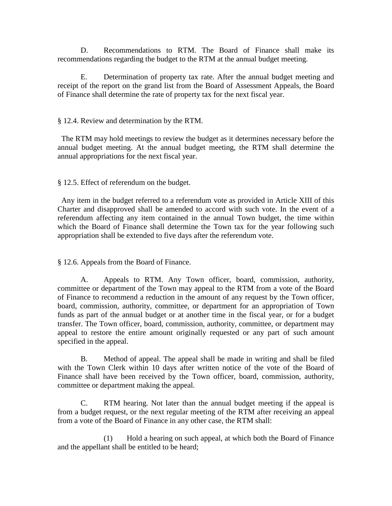D. Recommendations to RTM. The Board of Finance shall make its recommendations regarding the budget to the RTM at the annual budget meeting.

E. Determination of property tax rate. After the annual budget meeting and receipt of the report on the grand list from the Board of Assessment Appeals, the Board of Finance shall determine the rate of property tax for the next fiscal year.

#### § 12.4. Review and determination by the RTM.

 The RTM may hold meetings to review the budget as it determines necessary before the annual budget meeting. At the annual budget meeting, the RTM shall determine the annual appropriations for the next fiscal year.

§ 12.5. Effect of referendum on the budget.

 Any item in the budget referred to a referendum vote as provided in Article XIII of this Charter and disapproved shall be amended to accord with such vote. In the event of a referendum affecting any item contained in the annual Town budget, the time within which the Board of Finance shall determine the Town tax for the year following such appropriation shall be extended to five days after the referendum vote.

§ 12.6. Appeals from the Board of Finance.

A. Appeals to RTM. Any Town officer, board, commission, authority, committee or department of the Town may appeal to the RTM from a vote of the Board of Finance to recommend a reduction in the amount of any request by the Town officer, board, commission, authority, committee, or department for an appropriation of Town funds as part of the annual budget or at another time in the fiscal year, or for a budget transfer. The Town officer, board, commission, authority, committee, or department may appeal to restore the entire amount originally requested or any part of such amount specified in the appeal.

B. Method of appeal. The appeal shall be made in writing and shall be filed with the Town Clerk within 10 days after written notice of the vote of the Board of Finance shall have been received by the Town officer, board, commission, authority, committee or department making the appeal.

C. RTM hearing. Not later than the annual budget meeting if the appeal is from a budget request, or the next regular meeting of the RTM after receiving an appeal from a vote of the Board of Finance in any other case, the RTM shall:

(1) Hold a hearing on such appeal, at which both the Board of Finance and the appellant shall be entitled to be heard;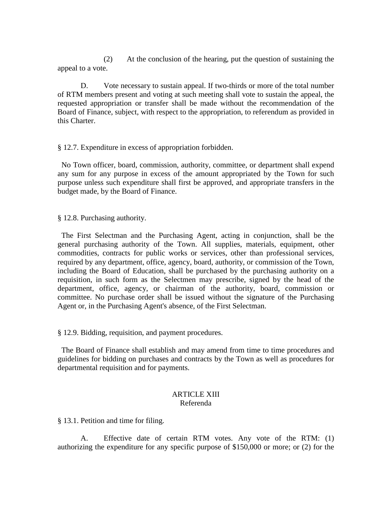(2) At the conclusion of the hearing, put the question of sustaining the appeal to a vote.

D. Vote necessary to sustain appeal. If two-thirds or more of the total number of RTM members present and voting at such meeting shall vote to sustain the appeal, the requested appropriation or transfer shall be made without the recommendation of the Board of Finance, subject, with respect to the appropriation, to referendum as provided in this Charter.

§ 12.7. Expenditure in excess of appropriation forbidden.

 No Town officer, board, commission, authority, committee, or department shall expend any sum for any purpose in excess of the amount appropriated by the Town for such purpose unless such expenditure shall first be approved, and appropriate transfers in the budget made, by the Board of Finance.

§ 12.8. Purchasing authority.

 The First Selectman and the Purchasing Agent, acting in conjunction, shall be the general purchasing authority of the Town. All supplies, materials, equipment, other commodities, contracts for public works or services, other than professional services, required by any department, office, agency, board, authority, or commission of the Town, including the Board of Education, shall be purchased by the purchasing authority on a requisition, in such form as the Selectmen may prescribe, signed by the head of the department, office, agency, or chairman of the authority, board, commission or committee. No purchase order shall be issued without the signature of the Purchasing Agent or, in the Purchasing Agent's absence, of the First Selectman.

§ 12.9. Bidding, requisition, and payment procedures.

 The Board of Finance shall establish and may amend from time to time procedures and guidelines for bidding on purchases and contracts by the Town as well as procedures for departmental requisition and for payments.

#### ARTICLE XIII Referenda

§ 13.1. Petition and time for filing.

A. Effective date of certain RTM votes. Any vote of the RTM: (1) authorizing the expenditure for any specific purpose of \$150,000 or more; or (2) for the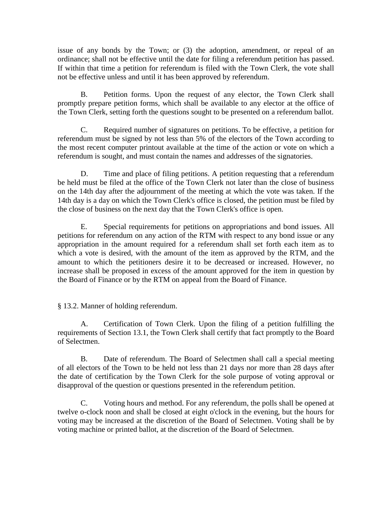issue of any bonds by the Town; or (3) the adoption, amendment, or repeal of an ordinance; shall not be effective until the date for filing a referendum petition has passed. If within that time a petition for referendum is filed with the Town Clerk, the vote shall not be effective unless and until it has been approved by referendum.

B. Petition forms. Upon the request of any elector, the Town Clerk shall promptly prepare petition forms, which shall be available to any elector at the office of the Town Clerk, setting forth the questions sought to be presented on a referendum ballot.

C. Required number of signatures on petitions. To be effective, a petition for referendum must be signed by not less than 5% of the electors of the Town according to the most recent computer printout available at the time of the action or vote on which a referendum is sought, and must contain the names and addresses of the signatories.

D. Time and place of filing petitions. A petition requesting that a referendum be held must be filed at the office of the Town Clerk not later than the close of business on the 14th day after the adjournment of the meeting at which the vote was taken. If the 14th day is a day on which the Town Clerk's office is closed, the petition must be filed by the close of business on the next day that the Town Clerk's office is open.

E. Special requirements for petitions on appropriations and bond issues. All petitions for referendum on any action of the RTM with respect to any bond issue or any appropriation in the amount required for a referendum shall set forth each item as to which a vote is desired, with the amount of the item as approved by the RTM, and the amount to which the petitioners desire it to be decreased or increased. However, no increase shall be proposed in excess of the amount approved for the item in question by the Board of Finance or by the RTM on appeal from the Board of Finance.

§ 13.2. Manner of holding referendum.

A. Certification of Town Clerk. Upon the filing of a petition fulfilling the requirements of Section 13.1, the Town Clerk shall certify that fact promptly to the Board of Selectmen.

B. Date of referendum. The Board of Selectmen shall call a special meeting of all electors of the Town to be held not less than 21 days nor more than 28 days after the date of certification by the Town Clerk for the sole purpose of voting approval or disapproval of the question or questions presented in the referendum petition.

C. Voting hours and method. For any referendum, the polls shall be opened at twelve o-clock noon and shall be closed at eight o'clock in the evening, but the hours for voting may be increased at the discretion of the Board of Selectmen. Voting shall be by voting machine or printed ballot, at the discretion of the Board of Selectmen.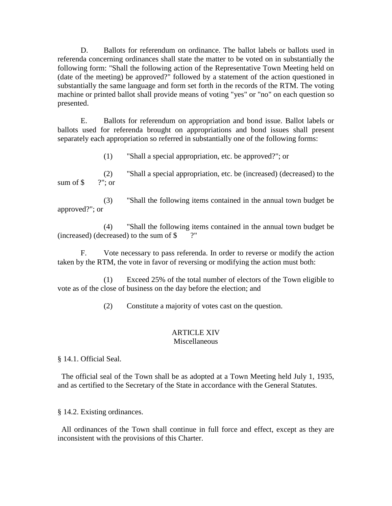D. Ballots for referendum on ordinance. The ballot labels or ballots used in referenda concerning ordinances shall state the matter to be voted on in substantially the following form: "Shall the following action of the Representative Town Meeting held on (date of the meeting) be approved?" followed by a statement of the action questioned in substantially the same language and form set forth in the records of the RTM. The voting machine or printed ballot shall provide means of voting "yes" or "no" on each question so presented.

E. Ballots for referendum on appropriation and bond issue. Ballot labels or ballots used for referenda brought on appropriations and bond issues shall present separately each appropriation so referred in substantially one of the following forms:

(1) "Shall a special appropriation, etc. be approved?"; or

(2) "Shall a special appropriation, etc. be (increased) (decreased) to the sum of  $\$\quad$  ?"; or

(3) "Shall the following items contained in the annual town budget be approved?"; or

(4) "Shall the following items contained in the annual town budget be (increased) (decreased) to the sum of \$ ?"

F. Vote necessary to pass referenda. In order to reverse or modify the action taken by the RTM, the vote in favor of reversing or modifying the action must both:

(1) Exceed 25% of the total number of electors of the Town eligible to vote as of the close of business on the day before the election; and

(2) Constitute a majority of votes cast on the question.

# ARTICLE XIV

#### Miscellaneous

§ 14.1. Official Seal.

 The official seal of the Town shall be as adopted at a Town Meeting held July 1, 1935, and as certified to the Secretary of the State in accordance with the General Statutes.

§ 14.2. Existing ordinances.

 All ordinances of the Town shall continue in full force and effect, except as they are inconsistent with the provisions of this Charter.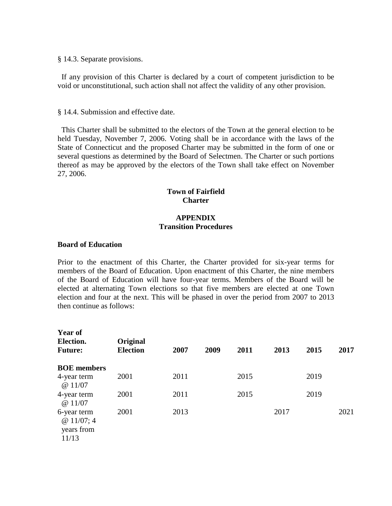§ 14.3. Separate provisions.

 If any provision of this Charter is declared by a court of competent jurisdiction to be void or unconstitutional, such action shall not affect the validity of any other provision.

§ 14.4. Submission and effective date.

 This Charter shall be submitted to the electors of the Town at the general election to be held Tuesday, November 7, 2006. Voting shall be in accordance with the laws of the State of Connecticut and the proposed Charter may be submitted in the form of one or several questions as determined by the Board of Selectmen. The Charter or such portions thereof as may be approved by the electors of the Town shall take effect on November 27, 2006.

#### **Town of Fairfield Charter**

#### **APPENDIX Transition Procedures**

#### **Board of Education**

Prior to the enactment of this Charter, the Charter provided for six-year terms for members of the Board of Education. Upon enactment of this Charter, the nine members of the Board of Education will have four-year terms. Members of the Board will be elected at alternating Town elections so that five members are elected at one Town election and four at the next. This will be phased in over the period from 2007 to 2013 then continue as follows:

| <b>Year of</b><br>Election.<br><b>Future:</b>  | Original<br><b>Election</b> | 2007 | 2009 | 2011 | 2013 | 2015 | 2017 |
|------------------------------------------------|-----------------------------|------|------|------|------|------|------|
| <b>BOE</b> members                             |                             |      |      |      |      |      |      |
| 4-year term<br>@11/07                          | 2001                        | 2011 |      | 2015 |      | 2019 |      |
| 4-year term<br>@11/07                          | 2001                        | 2011 |      | 2015 |      | 2019 |      |
| 6-year term<br>@11/07;4<br>years from<br>11/13 | 2001                        | 2013 |      |      | 2017 |      | 2021 |